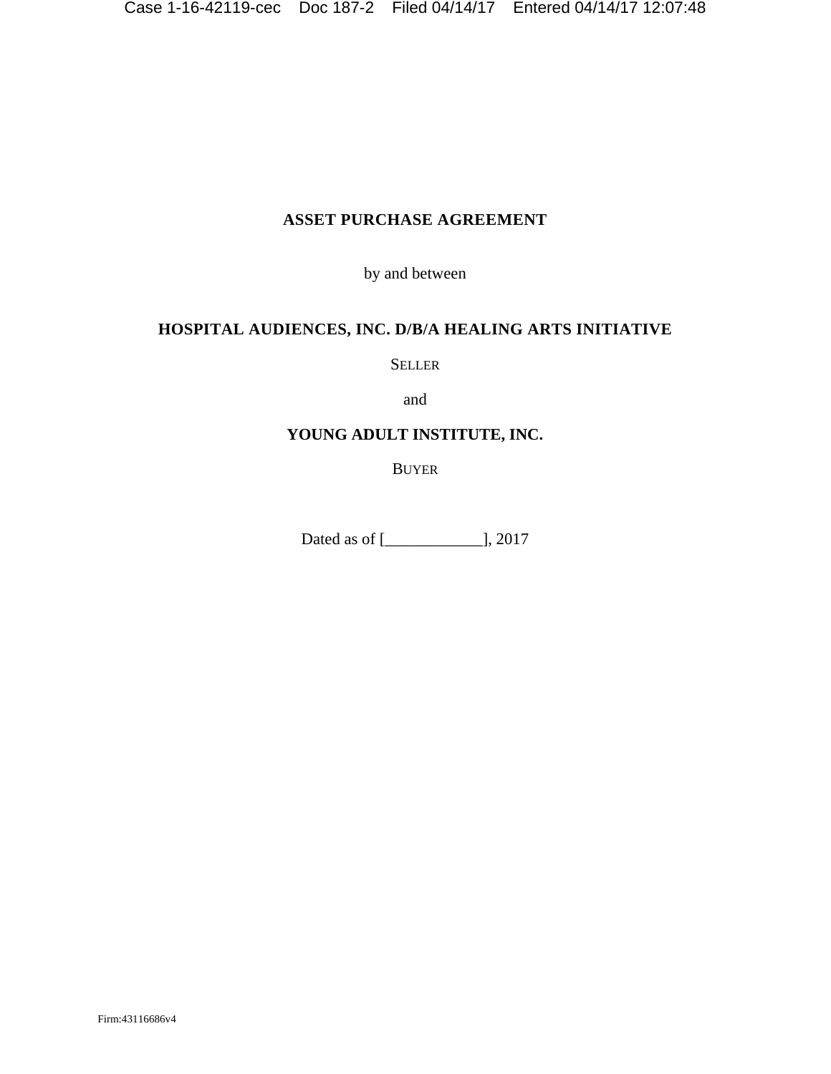# **ASSET PURCHASE AGREEMENT**

by and between

## **HOSPITAL AUDIENCES, INC. D/B/A HEALING ARTS INITIATIVE**

SELLER

and

### **YOUNG ADULT INSTITUTE, INC.**

BUYER

Dated as of [\_\_\_\_\_\_\_\_\_\_\_\_], 2017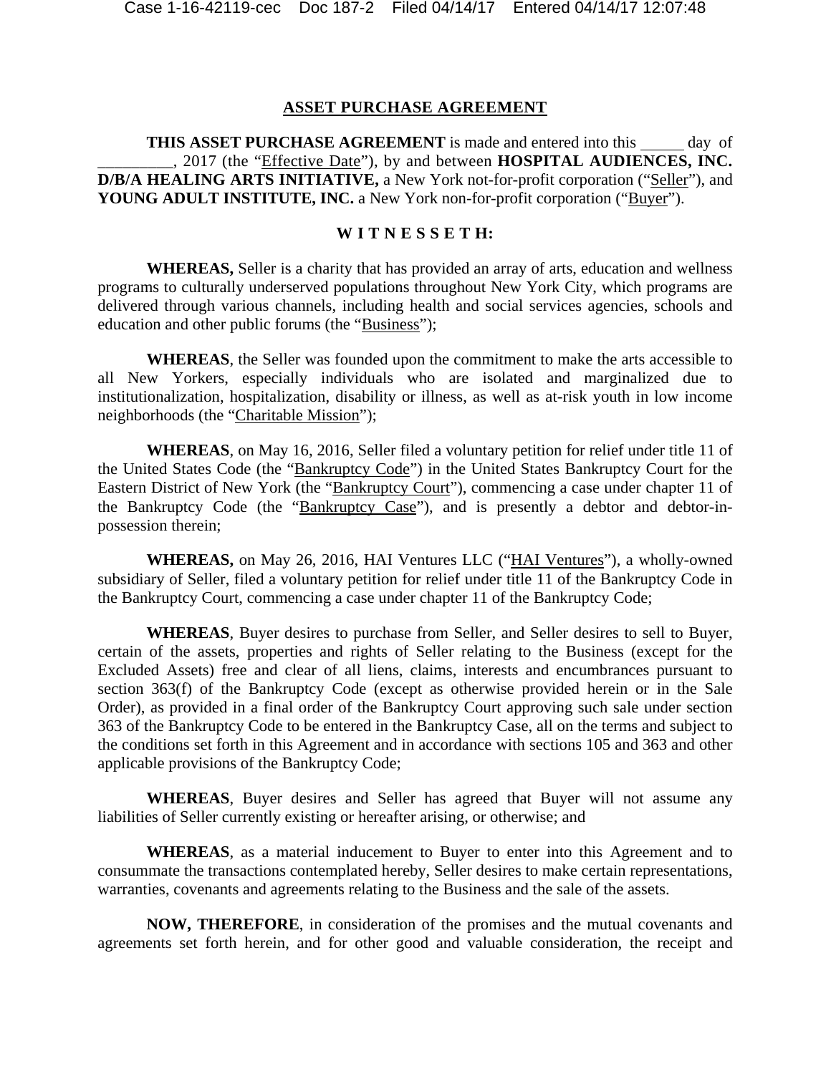#### **ASSET PURCHASE AGREEMENT**

**THIS ASSET PURCHASE AGREEMENT** is made and entered into this day of \_\_\_\_\_\_\_\_\_, 2017 (the "Effective Date"), by and between **HOSPITAL AUDIENCES, INC. D/B/A HEALING ARTS INITIATIVE,** a New York not-for-profit corporation ("Seller"), and **YOUNG ADULT INSTITUTE, INC.** a New York non-for-profit corporation ("Buyer").

#### **W I T N E S S E T H:**

**WHEREAS,** Seller is a charity that has provided an array of arts, education and wellness programs to culturally underserved populations throughout New York City, which programs are delivered through various channels, including health and social services agencies, schools and education and other public forums (the "Business");

**WHEREAS**, the Seller was founded upon the commitment to make the arts accessible to all New Yorkers, especially individuals who are isolated and marginalized due to institutionalization, hospitalization, disability or illness, as well as at-risk youth in low income neighborhoods (the "Charitable Mission");

**WHEREAS**, on May 16, 2016, Seller filed a voluntary petition for relief under title 11 of the United States Code (the "Bankruptcy Code") in the United States Bankruptcy Court for the Eastern District of New York (the "Bankruptcy Court"), commencing a case under chapter 11 of the Bankruptcy Code (the "Bankruptcy Case"), and is presently a debtor and debtor-inpossession therein;

**WHEREAS,** on May 26, 2016, HAI Ventures LLC ("HAI Ventures"), a wholly-owned subsidiary of Seller, filed a voluntary petition for relief under title 11 of the Bankruptcy Code in the Bankruptcy Court, commencing a case under chapter 11 of the Bankruptcy Code;

**WHEREAS**, Buyer desires to purchase from Seller, and Seller desires to sell to Buyer, certain of the assets, properties and rights of Seller relating to the Business (except for the Excluded Assets) free and clear of all liens, claims, interests and encumbrances pursuant to section 363(f) of the Bankruptcy Code (except as otherwise provided herein or in the Sale Order), as provided in a final order of the Bankruptcy Court approving such sale under section 363 of the Bankruptcy Code to be entered in the Bankruptcy Case, all on the terms and subject to the conditions set forth in this Agreement and in accordance with sections 105 and 363 and other applicable provisions of the Bankruptcy Code;

**WHEREAS**, Buyer desires and Seller has agreed that Buyer will not assume any liabilities of Seller currently existing or hereafter arising, or otherwise; and

**WHEREAS**, as a material inducement to Buyer to enter into this Agreement and to consummate the transactions contemplated hereby, Seller desires to make certain representations, warranties, covenants and agreements relating to the Business and the sale of the assets.

**NOW, THEREFORE**, in consideration of the promises and the mutual covenants and agreements set forth herein, and for other good and valuable consideration, the receipt and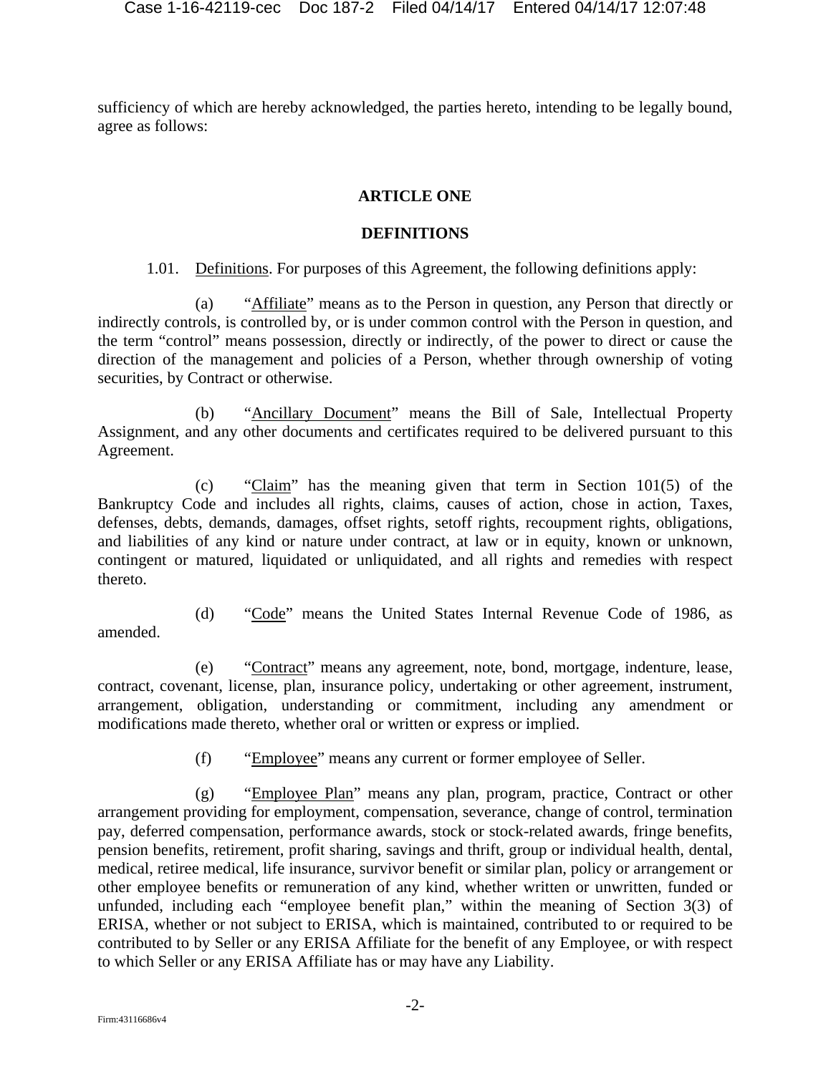sufficiency of which are hereby acknowledged, the parties hereto, intending to be legally bound, agree as follows:

### **ARTICLE ONE**

### **DEFINITIONS**

1.01. Definitions. For purposes of this Agreement, the following definitions apply:

(a) "Affiliate" means as to the Person in question, any Person that directly or indirectly controls, is controlled by, or is under common control with the Person in question, and the term "control" means possession, directly or indirectly, of the power to direct or cause the direction of the management and policies of a Person, whether through ownership of voting securities, by Contract or otherwise.

(b) "Ancillary Document" means the Bill of Sale, Intellectual Property Assignment, and any other documents and certificates required to be delivered pursuant to this Agreement.

(c) "Claim" has the meaning given that term in Section 101(5) of the Bankruptcy Code and includes all rights, claims, causes of action, chose in action, Taxes, defenses, debts, demands, damages, offset rights, setoff rights, recoupment rights, obligations, and liabilities of any kind or nature under contract, at law or in equity, known or unknown, contingent or matured, liquidated or unliquidated, and all rights and remedies with respect thereto.

amended.

(d) "Code" means the United States Internal Revenue Code of 1986, as

(e) "Contract" means any agreement, note, bond, mortgage, indenture, lease, contract, covenant, license, plan, insurance policy, undertaking or other agreement, instrument, arrangement, obligation, understanding or commitment, including any amendment or modifications made thereto, whether oral or written or express or implied.

(f) "Employee" means any current or former employee of Seller.

(g) "Employee Plan" means any plan, program, practice, Contract or other arrangement providing for employment, compensation, severance, change of control, termination pay, deferred compensation, performance awards, stock or stock-related awards, fringe benefits, pension benefits, retirement, profit sharing, savings and thrift, group or individual health, dental, medical, retiree medical, life insurance, survivor benefit or similar plan, policy or arrangement or other employee benefits or remuneration of any kind, whether written or unwritten, funded or unfunded, including each "employee benefit plan," within the meaning of Section 3(3) of ERISA, whether or not subject to ERISA, which is maintained, contributed to or required to be contributed to by Seller or any ERISA Affiliate for the benefit of any Employee, or with respect to which Seller or any ERISA Affiliate has or may have any Liability.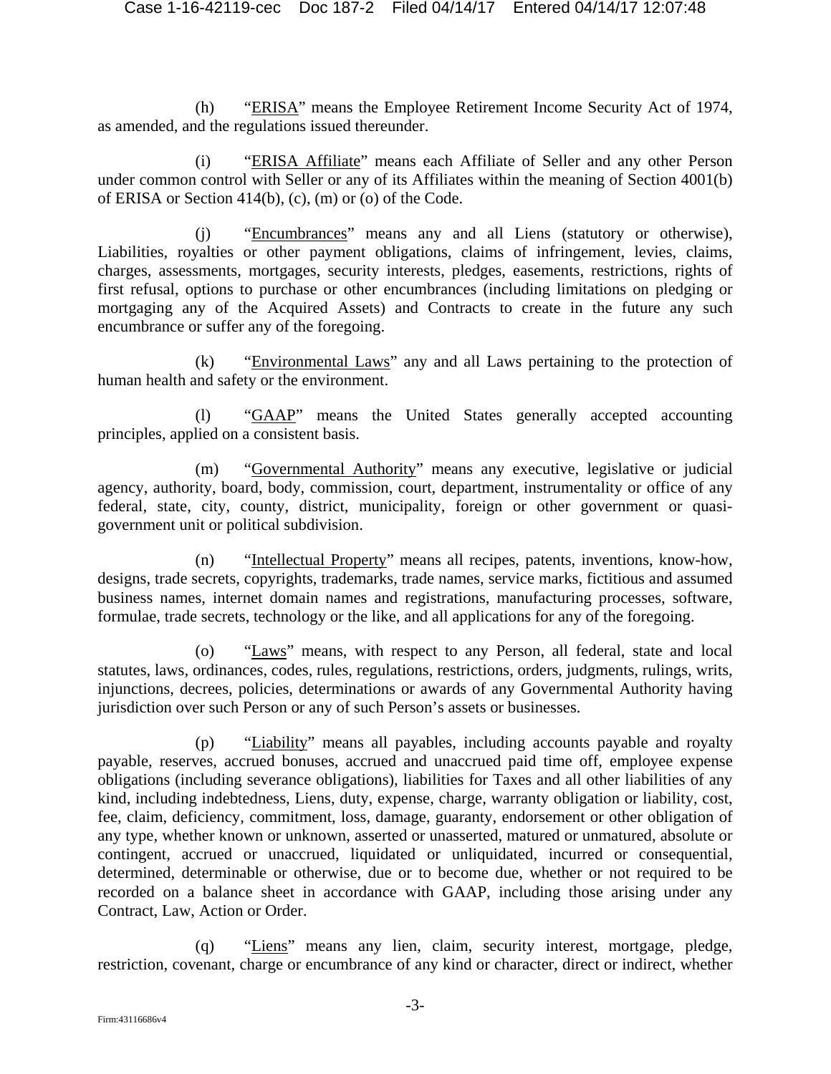(h) "ERISA" means the Employee Retirement Income Security Act of 1974, as amended, and the regulations issued thereunder.

(i) "ERISA Affiliate" means each Affiliate of Seller and any other Person under common control with Seller or any of its Affiliates within the meaning of Section 4001(b) of ERISA or Section 414(b), (c), (m) or (o) of the Code.

(j) "Encumbrances" means any and all Liens (statutory or otherwise), Liabilities, royalties or other payment obligations, claims of infringement, levies, claims, charges, assessments, mortgages, security interests, pledges, easements, restrictions, rights of first refusal, options to purchase or other encumbrances (including limitations on pledging or mortgaging any of the Acquired Assets) and Contracts to create in the future any such encumbrance or suffer any of the foregoing.

(k) "Environmental Laws" any and all Laws pertaining to the protection of human health and safety or the environment.

(l) "GAAP" means the United States generally accepted accounting principles, applied on a consistent basis.

(m) "Governmental Authority" means any executive, legislative or judicial agency, authority, board, body, commission, court, department, instrumentality or office of any federal, state, city, county, district, municipality, foreign or other government or quasigovernment unit or political subdivision.

(n) "Intellectual Property" means all recipes, patents, inventions, know-how, designs, trade secrets, copyrights, trademarks, trade names, service marks, fictitious and assumed business names, internet domain names and registrations, manufacturing processes, software, formulae, trade secrets, technology or the like, and all applications for any of the foregoing.

(o) "Laws" means, with respect to any Person, all federal, state and local statutes, laws, ordinances, codes, rules, regulations, restrictions, orders, judgments, rulings, writs, injunctions, decrees, policies, determinations or awards of any Governmental Authority having jurisdiction over such Person or any of such Person's assets or businesses.

(p) "Liability" means all payables, including accounts payable and royalty payable, reserves, accrued bonuses, accrued and unaccrued paid time off, employee expense obligations (including severance obligations), liabilities for Taxes and all other liabilities of any kind, including indebtedness, Liens, duty, expense, charge, warranty obligation or liability, cost, fee, claim, deficiency, commitment, loss, damage, guaranty, endorsement or other obligation of any type, whether known or unknown, asserted or unasserted, matured or unmatured, absolute or contingent, accrued or unaccrued, liquidated or unliquidated, incurred or consequential, determined, determinable or otherwise, due or to become due, whether or not required to be recorded on a balance sheet in accordance with GAAP, including those arising under any Contract, Law, Action or Order.

(q) "Liens" means any lien, claim, security interest, mortgage, pledge, restriction, covenant, charge or encumbrance of any kind or character, direct or indirect, whether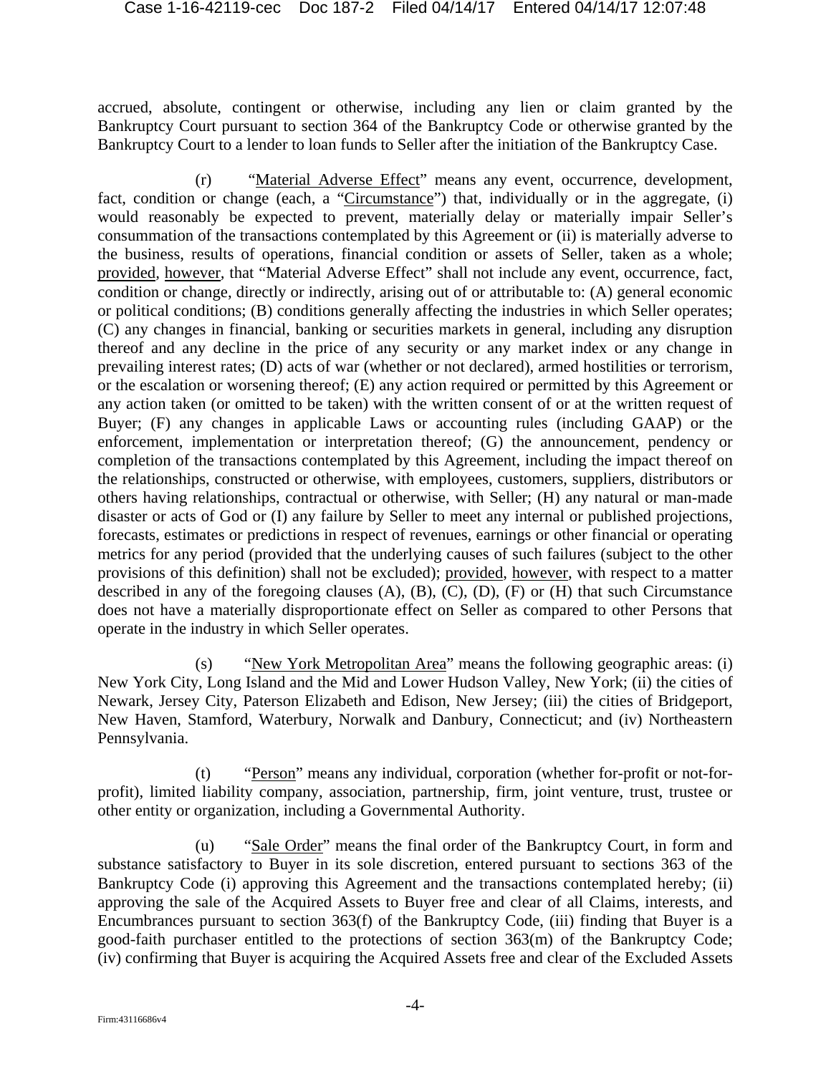accrued, absolute, contingent or otherwise, including any lien or claim granted by the Bankruptcy Court pursuant to section 364 of the Bankruptcy Code or otherwise granted by the Bankruptcy Court to a lender to loan funds to Seller after the initiation of the Bankruptcy Case.

(r) "Material Adverse Effect" means any event, occurrence, development, fact, condition or change (each, a "Circumstance") that, individually or in the aggregate, (i) would reasonably be expected to prevent, materially delay or materially impair Seller's consummation of the transactions contemplated by this Agreement or (ii) is materially adverse to the business, results of operations, financial condition or assets of Seller, taken as a whole; provided*,* however*,* that "Material Adverse Effect" shall not include any event, occurrence, fact, condition or change, directly or indirectly, arising out of or attributable to: (A) general economic or political conditions; (B) conditions generally affecting the industries in which Seller operates; (C) any changes in financial, banking or securities markets in general, including any disruption thereof and any decline in the price of any security or any market index or any change in prevailing interest rates; (D) acts of war (whether or not declared), armed hostilities or terrorism, or the escalation or worsening thereof; (E) any action required or permitted by this Agreement or any action taken (or omitted to be taken) with the written consent of or at the written request of Buyer; (F) any changes in applicable Laws or accounting rules (including GAAP) or the enforcement, implementation or interpretation thereof; (G) the announcement, pendency or completion of the transactions contemplated by this Agreement, including the impact thereof on the relationships, constructed or otherwise, with employees, customers, suppliers, distributors or others having relationships, contractual or otherwise, with Seller; (H) any natural or man-made disaster or acts of God or (I) any failure by Seller to meet any internal or published projections, forecasts, estimates or predictions in respect of revenues, earnings or other financial or operating metrics for any period (provided that the underlying causes of such failures (subject to the other provisions of this definition) shall not be excluded); provided, however, with respect to a matter described in any of the foregoing clauses  $(A)$ ,  $(B)$ ,  $(C)$ ,  $(D)$ ,  $(F)$  or  $(H)$  that such Circumstance does not have a materially disproportionate effect on Seller as compared to other Persons that operate in the industry in which Seller operates.

(s) "New York Metropolitan Area" means the following geographic areas: (i) New York City, Long Island and the Mid and Lower Hudson Valley, New York; (ii) the cities of Newark, Jersey City, Paterson Elizabeth and Edison, New Jersey; (iii) the cities of Bridgeport, New Haven, Stamford, Waterbury, Norwalk and Danbury, Connecticut; and (iv) Northeastern Pennsylvania.

(t) "Person" means any individual, corporation (whether for-profit or not-forprofit), limited liability company, association, partnership, firm, joint venture, trust, trustee or other entity or organization, including a Governmental Authority.

(u) "Sale Order" means the final order of the Bankruptcy Court, in form and substance satisfactory to Buyer in its sole discretion, entered pursuant to sections 363 of the Bankruptcy Code (i) approving this Agreement and the transactions contemplated hereby; (ii) approving the sale of the Acquired Assets to Buyer free and clear of all Claims, interests, and Encumbrances pursuant to section 363(f) of the Bankruptcy Code, (iii) finding that Buyer is a good-faith purchaser entitled to the protections of section 363(m) of the Bankruptcy Code; (iv) confirming that Buyer is acquiring the Acquired Assets free and clear of the Excluded Assets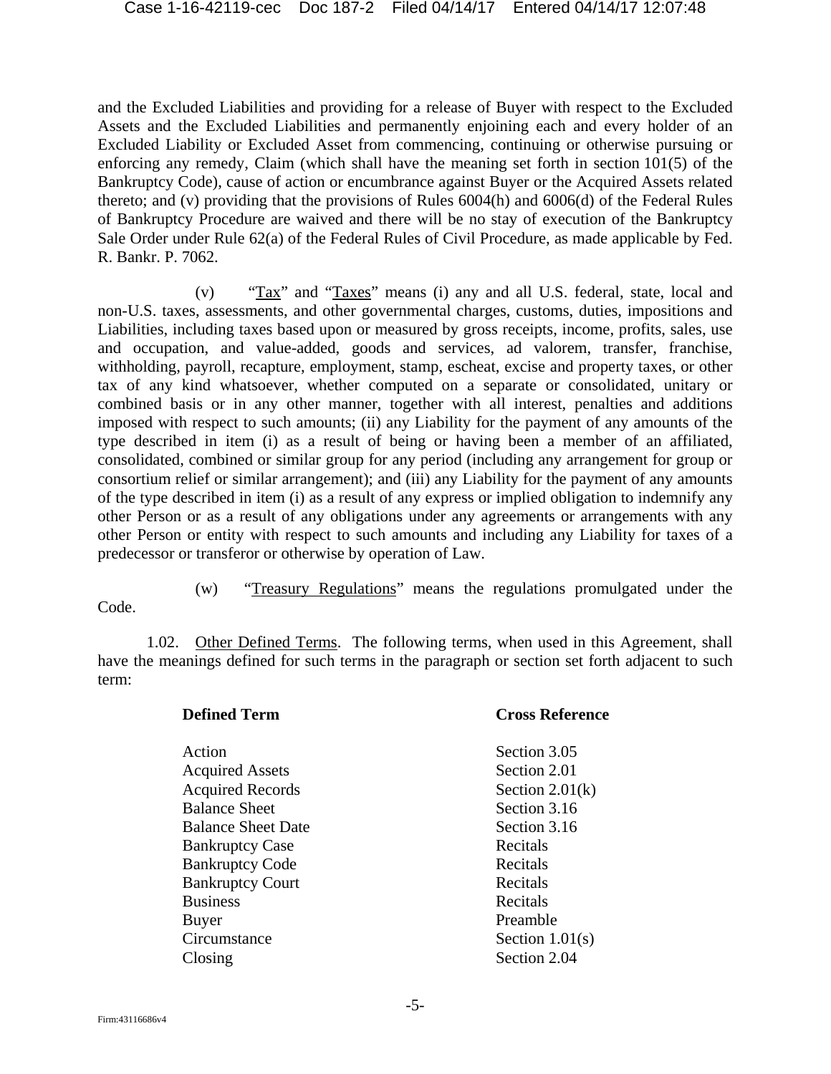and the Excluded Liabilities and providing for a release of Buyer with respect to the Excluded Assets and the Excluded Liabilities and permanently enjoining each and every holder of an Excluded Liability or Excluded Asset from commencing, continuing or otherwise pursuing or enforcing any remedy, Claim (which shall have the meaning set forth in section 101(5) of the Bankruptcy Code), cause of action or encumbrance against Buyer or the Acquired Assets related thereto; and (v) providing that the provisions of Rules 6004(h) and 6006(d) of the Federal Rules of Bankruptcy Procedure are waived and there will be no stay of execution of the Bankruptcy Sale Order under Rule 62(a) of the Federal Rules of Civil Procedure, as made applicable by Fed. R. Bankr. P. 7062.

(v) "Tax" and "Taxes" means (i) any and all U.S. federal, state, local and non-U.S. taxes, assessments, and other governmental charges, customs, duties, impositions and Liabilities, including taxes based upon or measured by gross receipts, income, profits, sales, use and occupation, and value-added, goods and services, ad valorem, transfer, franchise, withholding, payroll, recapture, employment, stamp, escheat, excise and property taxes, or other tax of any kind whatsoever, whether computed on a separate or consolidated, unitary or combined basis or in any other manner, together with all interest, penalties and additions imposed with respect to such amounts; (ii) any Liability for the payment of any amounts of the type described in item (i) as a result of being or having been a member of an affiliated, consolidated, combined or similar group for any period (including any arrangement for group or consortium relief or similar arrangement); and (iii) any Liability for the payment of any amounts of the type described in item (i) as a result of any express or implied obligation to indemnify any other Person or as a result of any obligations under any agreements or arrangements with any other Person or entity with respect to such amounts and including any Liability for taxes of a predecessor or transferor or otherwise by operation of Law.

Code.

(w) "Treasury Regulations" means the regulations promulgated under the

1.02. Other Defined Terms. The following terms, when used in this Agreement, shall have the meanings defined for such terms in the paragraph or section set forth adjacent to such term:

| <b>Defined Term</b>       | <b>Cross Reference</b> |  |
|---------------------------|------------------------|--|
| Action                    | Section 3.05           |  |
| <b>Acquired Assets</b>    | Section 2.01           |  |
| <b>Acquired Records</b>   | Section $2.01(k)$      |  |
| <b>Balance Sheet</b>      | Section 3.16           |  |
| <b>Balance Sheet Date</b> | Section 3.16           |  |
| <b>Bankruptcy Case</b>    | Recitals               |  |
| <b>Bankruptcy Code</b>    | Recitals               |  |
| <b>Bankruptcy Court</b>   | Recitals               |  |
| <b>Business</b>           | Recitals               |  |
| Buyer                     | Preamble               |  |
| Circumstance              | Section $1.01(s)$      |  |
| Closing                   | Section 2.04           |  |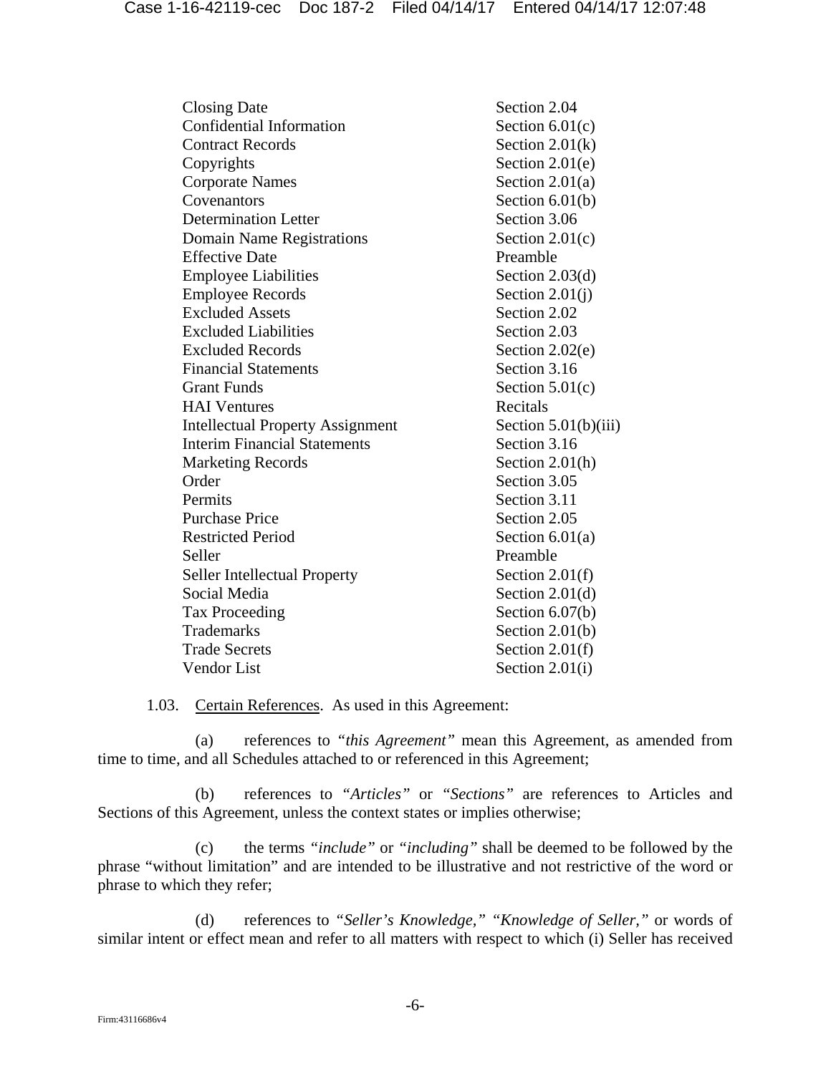| <b>Closing Date</b>                     | Section 2.04           |
|-----------------------------------------|------------------------|
| Confidential Information                | Section $6.01(c)$      |
| <b>Contract Records</b>                 | Section $2.01(k)$      |
| Copyrights                              | Section $2.01(e)$      |
| <b>Corporate Names</b>                  | Section $2.01(a)$      |
| Covenantors                             | Section $6.01(b)$      |
| <b>Determination Letter</b>             | Section 3.06           |
| Domain Name Registrations               | Section $2.01(c)$      |
| <b>Effective Date</b>                   | Preamble               |
| <b>Employee Liabilities</b>             | Section $2.03(d)$      |
| <b>Employee Records</b>                 | Section $2.01(i)$      |
| <b>Excluded Assets</b>                  | Section 2.02           |
| <b>Excluded Liabilities</b>             | Section 2.03           |
| <b>Excluded Records</b>                 | Section $2.02(e)$      |
| <b>Financial Statements</b>             | Section 3.16           |
| <b>Grant Funds</b>                      | Section $5.01(c)$      |
| <b>HAI</b> Ventures                     | Recitals               |
| <b>Intellectual Property Assignment</b> | Section $5.01(b)(iii)$ |
| <b>Interim Financial Statements</b>     | Section 3.16           |
| <b>Marketing Records</b>                | Section $2.01(h)$      |
| Order                                   | Section 3.05           |
| Permits                                 | Section 3.11           |
| <b>Purchase Price</b>                   | Section 2.05           |
| <b>Restricted Period</b>                | Section $6.01(a)$      |
| Seller                                  | Preamble               |
| <b>Seller Intellectual Property</b>     | Section $2.01(f)$      |
| Social Media                            | Section $2.01(d)$      |
| <b>Tax Proceeding</b>                   | Section $6.07(b)$      |
| <b>Trademarks</b>                       | Section $2.01(b)$      |
| <b>Trade Secrets</b>                    | Section $2.01(f)$      |
| <b>Vendor</b> List                      | Section $2.01(i)$      |

1.03. Certain References. As used in this Agreement:

(a) references to *"this Agreement"* mean this Agreement, as amended from time to time, and all Schedules attached to or referenced in this Agreement;

(b) references to *"Articles"* or *"Sections"* are references to Articles and Sections of this Agreement, unless the context states or implies otherwise;

(c) the terms *"include"* or *"including"* shall be deemed to be followed by the phrase "without limitation" and are intended to be illustrative and not restrictive of the word or phrase to which they refer;

(d) references to *"Seller's Knowledge," "Knowledge of Seller,"* or words of similar intent or effect mean and refer to all matters with respect to which (i) Seller has received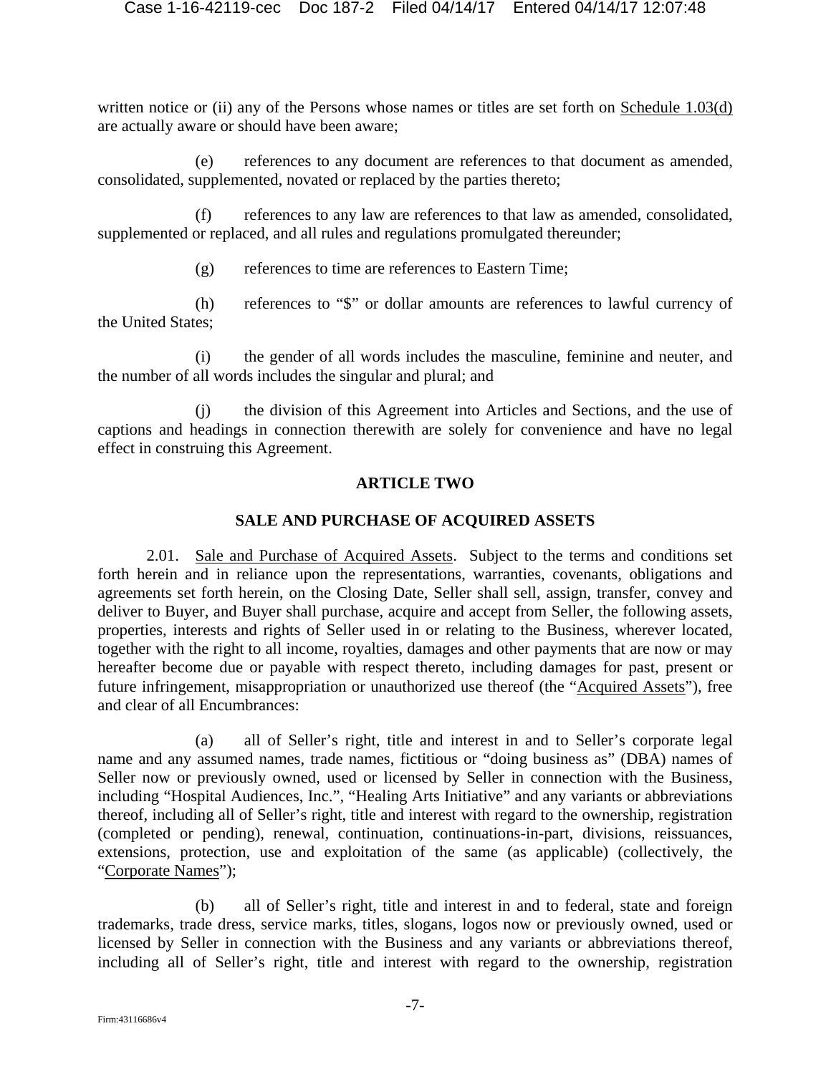written notice or (ii) any of the Persons whose names or titles are set forth on Schedule 1.03(d) are actually aware or should have been aware;

(e) references to any document are references to that document as amended, consolidated, supplemented, novated or replaced by the parties thereto;

(f) references to any law are references to that law as amended, consolidated, supplemented or replaced, and all rules and regulations promulgated thereunder;

(g) references to time are references to Eastern Time;

(h) references to "\$" or dollar amounts are references to lawful currency of the United States;

(i) the gender of all words includes the masculine, feminine and neuter, and the number of all words includes the singular and plural; and

(j) the division of this Agreement into Articles and Sections, and the use of captions and headings in connection therewith are solely for convenience and have no legal effect in construing this Agreement.

### **ARTICLE TWO**

### **SALE AND PURCHASE OF ACQUIRED ASSETS**

2.01. Sale and Purchase of Acquired Assets. Subject to the terms and conditions set forth herein and in reliance upon the representations, warranties, covenants, obligations and agreements set forth herein, on the Closing Date, Seller shall sell, assign, transfer, convey and deliver to Buyer, and Buyer shall purchase, acquire and accept from Seller, the following assets, properties, interests and rights of Seller used in or relating to the Business, wherever located, together with the right to all income, royalties, damages and other payments that are now or may hereafter become due or payable with respect thereto, including damages for past, present or future infringement, misappropriation or unauthorized use thereof (the "Acquired Assets"), free and clear of all Encumbrances:

(a) all of Seller's right, title and interest in and to Seller's corporate legal name and any assumed names, trade names, fictitious or "doing business as" (DBA) names of Seller now or previously owned, used or licensed by Seller in connection with the Business, including "Hospital Audiences, Inc.", "Healing Arts Initiative" and any variants or abbreviations thereof, including all of Seller's right, title and interest with regard to the ownership, registration (completed or pending), renewal, continuation, continuations-in-part, divisions, reissuances, extensions, protection, use and exploitation of the same (as applicable) (collectively, the "Corporate Names");

(b) all of Seller's right, title and interest in and to federal, state and foreign trademarks, trade dress, service marks, titles, slogans, logos now or previously owned, used or licensed by Seller in connection with the Business and any variants or abbreviations thereof, including all of Seller's right, title and interest with regard to the ownership, registration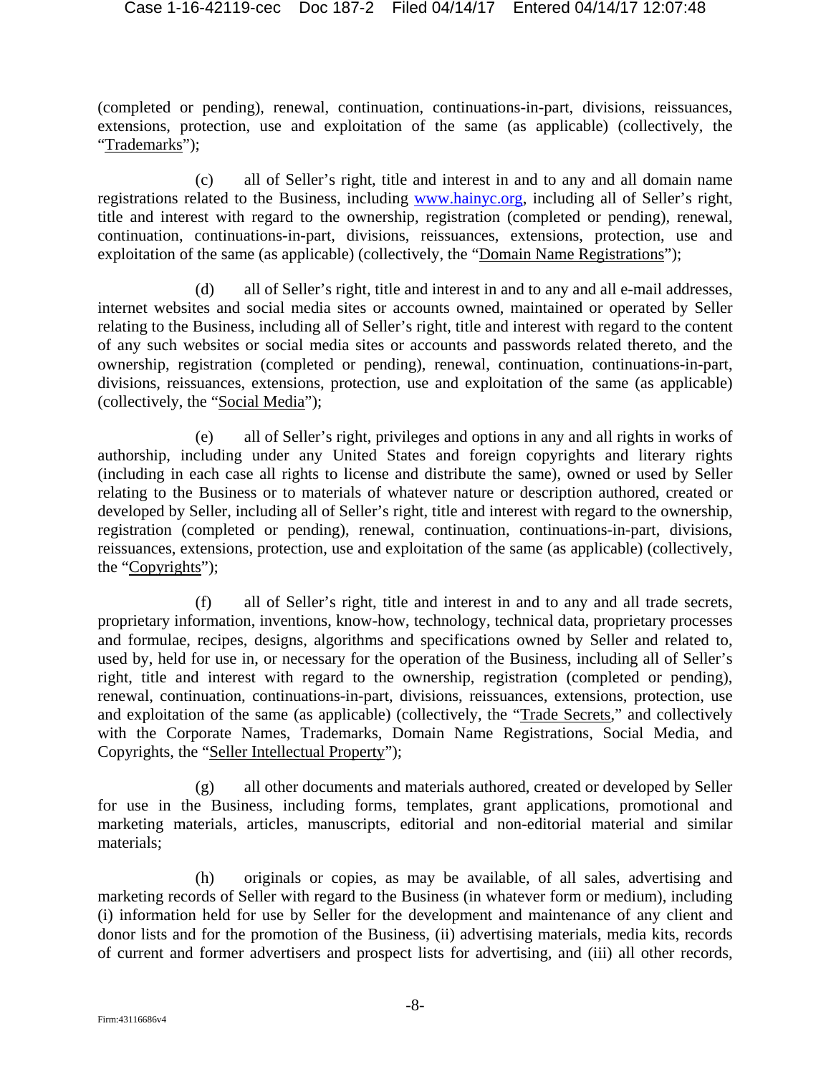(completed or pending), renewal, continuation, continuations-in-part, divisions, reissuances, extensions, protection, use and exploitation of the same (as applicable) (collectively, the "Trademarks");

(c) all of Seller's right, title and interest in and to any and all domain name registrations related to the Business, including www.hainyc.org, including all of Seller's right, title and interest with regard to the ownership, registration (completed or pending), renewal, continuation, continuations-in-part, divisions, reissuances, extensions, protection, use and exploitation of the same (as applicable) (collectively, the "Domain Name Registrations");

(d) all of Seller's right, title and interest in and to any and all e-mail addresses, internet websites and social media sites or accounts owned, maintained or operated by Seller relating to the Business, including all of Seller's right, title and interest with regard to the content of any such websites or social media sites or accounts and passwords related thereto, and the ownership, registration (completed or pending), renewal, continuation, continuations-in-part, divisions, reissuances, extensions, protection, use and exploitation of the same (as applicable) (collectively, the "Social Media");

(e) all of Seller's right, privileges and options in any and all rights in works of authorship, including under any United States and foreign copyrights and literary rights (including in each case all rights to license and distribute the same), owned or used by Seller relating to the Business or to materials of whatever nature or description authored, created or developed by Seller, including all of Seller's right, title and interest with regard to the ownership, registration (completed or pending), renewal, continuation, continuations-in-part, divisions, reissuances, extensions, protection, use and exploitation of the same (as applicable) (collectively, the "Copyrights");

(f) all of Seller's right, title and interest in and to any and all trade secrets, proprietary information, inventions, know-how, technology, technical data, proprietary processes and formulae, recipes, designs, algorithms and specifications owned by Seller and related to, used by, held for use in, or necessary for the operation of the Business, including all of Seller's right, title and interest with regard to the ownership, registration (completed or pending), renewal, continuation, continuations-in-part, divisions, reissuances, extensions, protection, use and exploitation of the same (as applicable) (collectively, the "Trade Secrets," and collectively with the Corporate Names, Trademarks, Domain Name Registrations, Social Media, and Copyrights, the "Seller Intellectual Property");

(g) all other documents and materials authored, created or developed by Seller for use in the Business, including forms, templates, grant applications, promotional and marketing materials, articles, manuscripts, editorial and non-editorial material and similar materials;

(h) originals or copies, as may be available, of all sales, advertising and marketing records of Seller with regard to the Business (in whatever form or medium), including (i) information held for use by Seller for the development and maintenance of any client and donor lists and for the promotion of the Business, (ii) advertising materials, media kits, records of current and former advertisers and prospect lists for advertising, and (iii) all other records,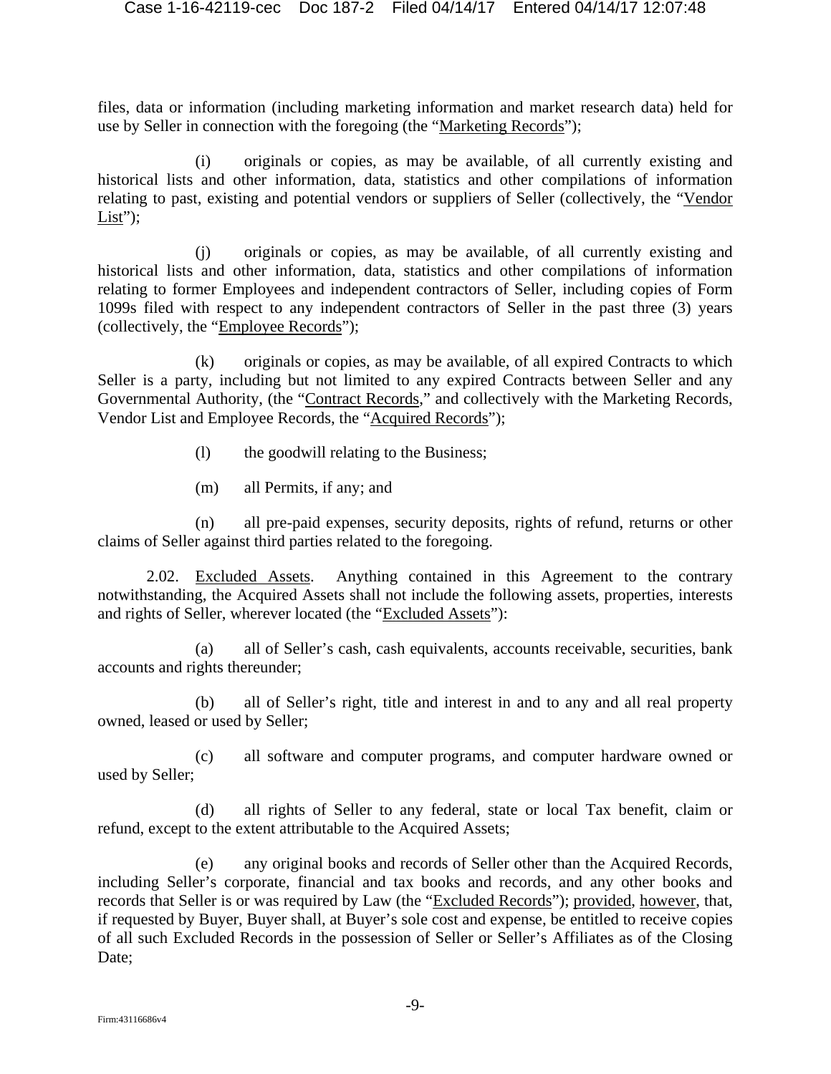files, data or information (including marketing information and market research data) held for use by Seller in connection with the foregoing (the "Marketing Records");

(i) originals or copies, as may be available, of all currently existing and historical lists and other information, data, statistics and other compilations of information relating to past, existing and potential vendors or suppliers of Seller (collectively, the "Vendor List");

(j) originals or copies, as may be available, of all currently existing and historical lists and other information, data, statistics and other compilations of information relating to former Employees and independent contractors of Seller, including copies of Form 1099s filed with respect to any independent contractors of Seller in the past three (3) years (collectively, the "Employee Records");

(k) originals or copies, as may be available, of all expired Contracts to which Seller is a party, including but not limited to any expired Contracts between Seller and any Governmental Authority, (the "Contract Records," and collectively with the Marketing Records, Vendor List and Employee Records, the "Acquired Records");

- (l) the goodwill relating to the Business;
- (m) all Permits, if any; and

(n) all pre-paid expenses, security deposits, rights of refund, returns or other claims of Seller against third parties related to the foregoing.

2.02. Excluded Assets. Anything contained in this Agreement to the contrary notwithstanding, the Acquired Assets shall not include the following assets, properties, interests and rights of Seller, wherever located (the "Excluded Assets"):

(a) all of Seller's cash, cash equivalents, accounts receivable, securities, bank accounts and rights thereunder;

(b) all of Seller's right, title and interest in and to any and all real property owned, leased or used by Seller;

(c) all software and computer programs, and computer hardware owned or used by Seller;

(d) all rights of Seller to any federal, state or local Tax benefit, claim or refund, except to the extent attributable to the Acquired Assets;

(e) any original books and records of Seller other than the Acquired Records, including Seller's corporate, financial and tax books and records, and any other books and records that Seller is or was required by Law (the "Excluded Records"); provided, however, that, if requested by Buyer, Buyer shall, at Buyer's sole cost and expense, be entitled to receive copies of all such Excluded Records in the possession of Seller or Seller's Affiliates as of the Closing Date: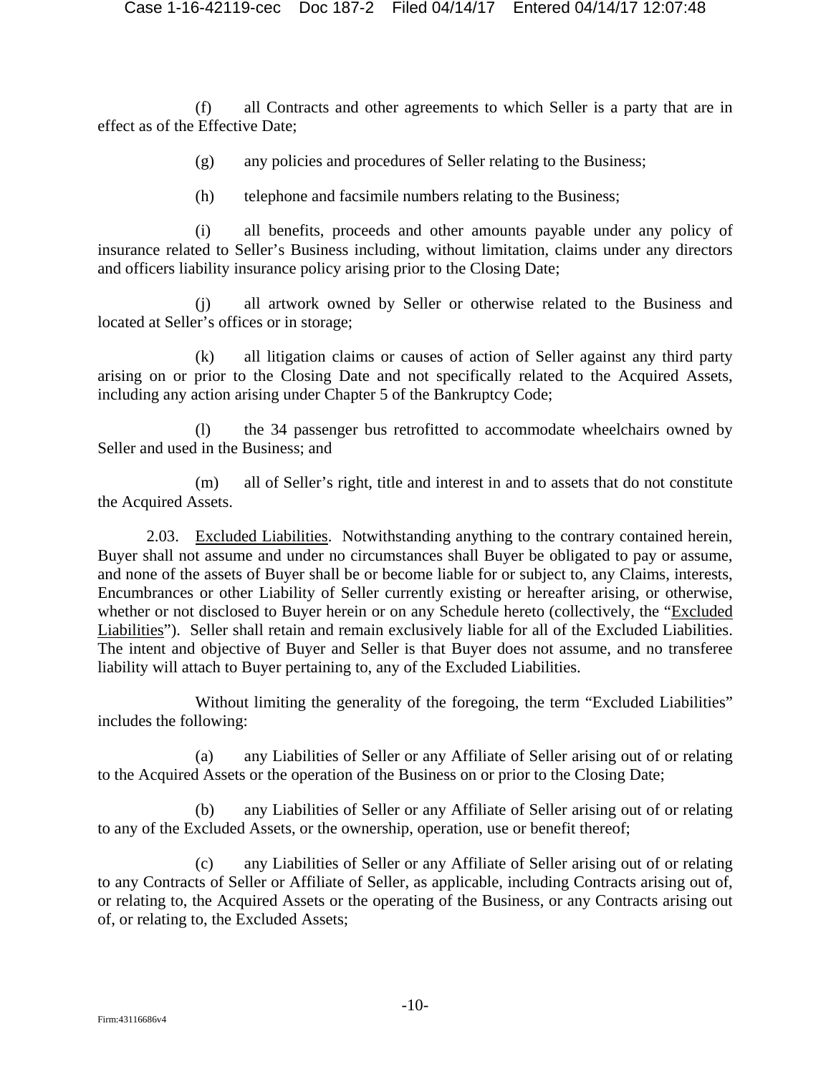(f) all Contracts and other agreements to which Seller is a party that are in effect as of the Effective Date;

(g) any policies and procedures of Seller relating to the Business;

(h) telephone and facsimile numbers relating to the Business;

(i) all benefits, proceeds and other amounts payable under any policy of insurance related to Seller's Business including, without limitation, claims under any directors and officers liability insurance policy arising prior to the Closing Date;

(j) all artwork owned by Seller or otherwise related to the Business and located at Seller's offices or in storage;

(k) all litigation claims or causes of action of Seller against any third party arising on or prior to the Closing Date and not specifically related to the Acquired Assets, including any action arising under Chapter 5 of the Bankruptcy Code;

(l) the 34 passenger bus retrofitted to accommodate wheelchairs owned by Seller and used in the Business; and

(m) all of Seller's right, title and interest in and to assets that do not constitute the Acquired Assets.

2.03. Excluded Liabilities. Notwithstanding anything to the contrary contained herein, Buyer shall not assume and under no circumstances shall Buyer be obligated to pay or assume, and none of the assets of Buyer shall be or become liable for or subject to, any Claims, interests, Encumbrances or other Liability of Seller currently existing or hereafter arising, or otherwise, whether or not disclosed to Buyer herein or on any Schedule hereto (collectively, the "Excluded Liabilities"). Seller shall retain and remain exclusively liable for all of the Excluded Liabilities. The intent and objective of Buyer and Seller is that Buyer does not assume, and no transferee liability will attach to Buyer pertaining to, any of the Excluded Liabilities.

Without limiting the generality of the foregoing, the term "Excluded Liabilities" includes the following:

(a) any Liabilities of Seller or any Affiliate of Seller arising out of or relating to the Acquired Assets or the operation of the Business on or prior to the Closing Date;

(b) any Liabilities of Seller or any Affiliate of Seller arising out of or relating to any of the Excluded Assets, or the ownership, operation, use or benefit thereof;

(c) any Liabilities of Seller or any Affiliate of Seller arising out of or relating to any Contracts of Seller or Affiliate of Seller, as applicable, including Contracts arising out of, or relating to, the Acquired Assets or the operating of the Business, or any Contracts arising out of, or relating to, the Excluded Assets;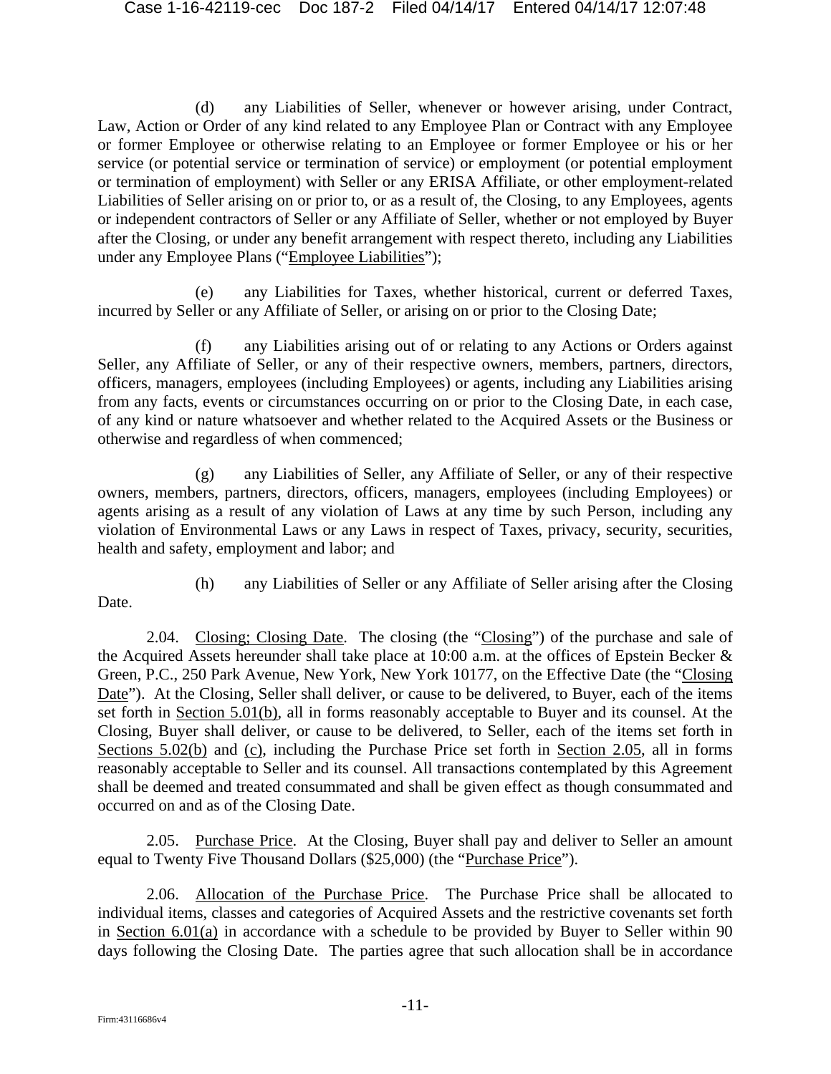(d) any Liabilities of Seller, whenever or however arising, under Contract, Law, Action or Order of any kind related to any Employee Plan or Contract with any Employee or former Employee or otherwise relating to an Employee or former Employee or his or her service (or potential service or termination of service) or employment (or potential employment or termination of employment) with Seller or any ERISA Affiliate, or other employment-related Liabilities of Seller arising on or prior to, or as a result of, the Closing, to any Employees, agents or independent contractors of Seller or any Affiliate of Seller, whether or not employed by Buyer after the Closing, or under any benefit arrangement with respect thereto, including any Liabilities under any Employee Plans ("Employee Liabilities");

(e) any Liabilities for Taxes, whether historical, current or deferred Taxes, incurred by Seller or any Affiliate of Seller, or arising on or prior to the Closing Date;

(f) any Liabilities arising out of or relating to any Actions or Orders against Seller, any Affiliate of Seller, or any of their respective owners, members, partners, directors, officers, managers, employees (including Employees) or agents, including any Liabilities arising from any facts, events or circumstances occurring on or prior to the Closing Date, in each case, of any kind or nature whatsoever and whether related to the Acquired Assets or the Business or otherwise and regardless of when commenced;

(g) any Liabilities of Seller, any Affiliate of Seller, or any of their respective owners, members, partners, directors, officers, managers, employees (including Employees) or agents arising as a result of any violation of Laws at any time by such Person, including any violation of Environmental Laws or any Laws in respect of Taxes, privacy, security, securities, health and safety, employment and labor; and

Date.

(h) any Liabilities of Seller or any Affiliate of Seller arising after the Closing

2.04. Closing; Closing Date. The closing (the "Closing") of the purchase and sale of the Acquired Assets hereunder shall take place at 10:00 a.m. at the offices of Epstein Becker & Green, P.C., 250 Park Avenue, New York, New York 10177, on the Effective Date (the "Closing Date"). At the Closing, Seller shall deliver, or cause to be delivered, to Buyer, each of the items set forth in Section 5.01(b), all in forms reasonably acceptable to Buyer and its counsel. At the Closing, Buyer shall deliver, or cause to be delivered, to Seller, each of the items set forth in Sections 5.02(b) and (c), including the Purchase Price set forth in Section 2.05, all in forms reasonably acceptable to Seller and its counsel. All transactions contemplated by this Agreement shall be deemed and treated consummated and shall be given effect as though consummated and occurred on and as of the Closing Date.

2.05. Purchase Price. At the Closing, Buyer shall pay and deliver to Seller an amount equal to Twenty Five Thousand Dollars (\$25,000) (the "Purchase Price").

2.06. Allocation of the Purchase Price. The Purchase Price shall be allocated to individual items, classes and categories of Acquired Assets and the restrictive covenants set forth in Section 6.01(a) in accordance with a schedule to be provided by Buyer to Seller within 90 days following the Closing Date. The parties agree that such allocation shall be in accordance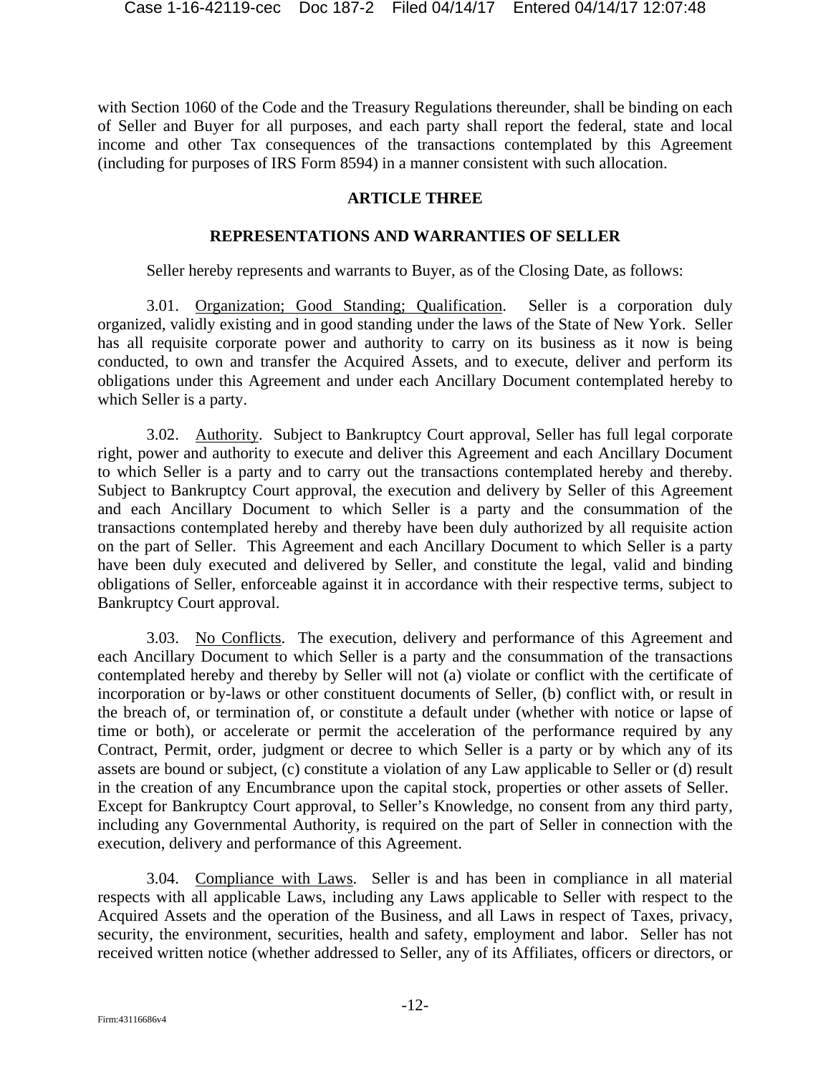with Section 1060 of the Code and the Treasury Regulations thereunder, shall be binding on each of Seller and Buyer for all purposes, and each party shall report the federal, state and local income and other Tax consequences of the transactions contemplated by this Agreement (including for purposes of IRS Form 8594) in a manner consistent with such allocation.

### **ARTICLE THREE**

### **REPRESENTATIONS AND WARRANTIES OF SELLER**

Seller hereby represents and warrants to Buyer, as of the Closing Date, as follows:

3.01. Organization; Good Standing; Qualification. Seller is a corporation duly organized, validly existing and in good standing under the laws of the State of New York. Seller has all requisite corporate power and authority to carry on its business as it now is being conducted, to own and transfer the Acquired Assets, and to execute, deliver and perform its obligations under this Agreement and under each Ancillary Document contemplated hereby to which Seller is a party.

3.02. Authority. Subject to Bankruptcy Court approval, Seller has full legal corporate right, power and authority to execute and deliver this Agreement and each Ancillary Document to which Seller is a party and to carry out the transactions contemplated hereby and thereby. Subject to Bankruptcy Court approval, the execution and delivery by Seller of this Agreement and each Ancillary Document to which Seller is a party and the consummation of the transactions contemplated hereby and thereby have been duly authorized by all requisite action on the part of Seller. This Agreement and each Ancillary Document to which Seller is a party have been duly executed and delivered by Seller, and constitute the legal, valid and binding obligations of Seller, enforceable against it in accordance with their respective terms, subject to Bankruptcy Court approval.

3.03. No Conflicts. The execution, delivery and performance of this Agreement and each Ancillary Document to which Seller is a party and the consummation of the transactions contemplated hereby and thereby by Seller will not (a) violate or conflict with the certificate of incorporation or by-laws or other constituent documents of Seller, (b) conflict with, or result in the breach of, or termination of, or constitute a default under (whether with notice or lapse of time or both), or accelerate or permit the acceleration of the performance required by any Contract, Permit, order, judgment or decree to which Seller is a party or by which any of its assets are bound or subject, (c) constitute a violation of any Law applicable to Seller or (d) result in the creation of any Encumbrance upon the capital stock, properties or other assets of Seller. Except for Bankruptcy Court approval, to Seller's Knowledge, no consent from any third party, including any Governmental Authority, is required on the part of Seller in connection with the execution, delivery and performance of this Agreement.

3.04. Compliance with Laws. Seller is and has been in compliance in all material respects with all applicable Laws, including any Laws applicable to Seller with respect to the Acquired Assets and the operation of the Business, and all Laws in respect of Taxes, privacy, security, the environment, securities, health and safety, employment and labor. Seller has not received written notice (whether addressed to Seller, any of its Affiliates, officers or directors, or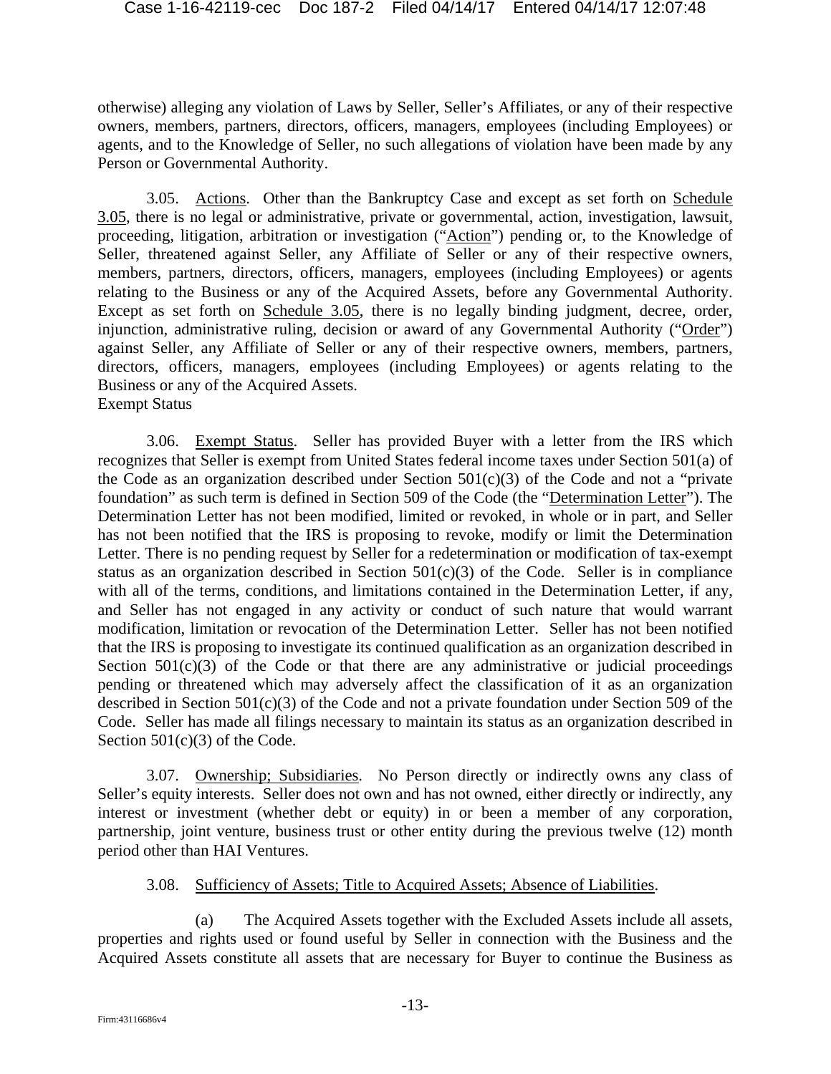otherwise) alleging any violation of Laws by Seller, Seller's Affiliates, or any of their respective owners, members, partners, directors, officers, managers, employees (including Employees) or agents, and to the Knowledge of Seller, no such allegations of violation have been made by any Person or Governmental Authority.

3.05. Actions. Other than the Bankruptcy Case and except as set forth on Schedule 3.05, there is no legal or administrative, private or governmental, action, investigation, lawsuit, proceeding, litigation, arbitration or investigation ("Action") pending or, to the Knowledge of Seller, threatened against Seller, any Affiliate of Seller or any of their respective owners, members, partners, directors, officers, managers, employees (including Employees) or agents relating to the Business or any of the Acquired Assets, before any Governmental Authority. Except as set forth on Schedule 3.05, there is no legally binding judgment, decree, order, injunction, administrative ruling, decision or award of any Governmental Authority ("Order") against Seller, any Affiliate of Seller or any of their respective owners, members, partners, directors, officers, managers, employees (including Employees) or agents relating to the Business or any of the Acquired Assets. Exempt Status

3.06. Exempt Status. Seller has provided Buyer with a letter from the IRS which recognizes that Seller is exempt from United States federal income taxes under Section 501(a) of the Code as an organization described under Section  $501(c)(3)$  of the Code and not a "private" foundation" as such term is defined in Section 509 of the Code (the "Determination Letter"). The Determination Letter has not been modified, limited or revoked, in whole or in part, and Seller has not been notified that the IRS is proposing to revoke, modify or limit the Determination Letter. There is no pending request by Seller for a redetermination or modification of tax-exempt status as an organization described in Section 501(c)(3) of the Code. Seller is in compliance with all of the terms, conditions, and limitations contained in the Determination Letter, if any, and Seller has not engaged in any activity or conduct of such nature that would warrant modification, limitation or revocation of the Determination Letter. Seller has not been notified that the IRS is proposing to investigate its continued qualification as an organization described in Section  $501(c)(3)$  of the Code or that there are any administrative or judicial proceedings pending or threatened which may adversely affect the classification of it as an organization described in Section 501(c)(3) of the Code and not a private foundation under Section 509 of the Code. Seller has made all filings necessary to maintain its status as an organization described in Section  $501(c)(3)$  of the Code.

3.07. Ownership; Subsidiaries. No Person directly or indirectly owns any class of Seller's equity interests. Seller does not own and has not owned, either directly or indirectly, any interest or investment (whether debt or equity) in or been a member of any corporation, partnership, joint venture, business trust or other entity during the previous twelve (12) month period other than HAI Ventures.

### 3.08. Sufficiency of Assets; Title to Acquired Assets; Absence of Liabilities.

(a) The Acquired Assets together with the Excluded Assets include all assets, properties and rights used or found useful by Seller in connection with the Business and the Acquired Assets constitute all assets that are necessary for Buyer to continue the Business as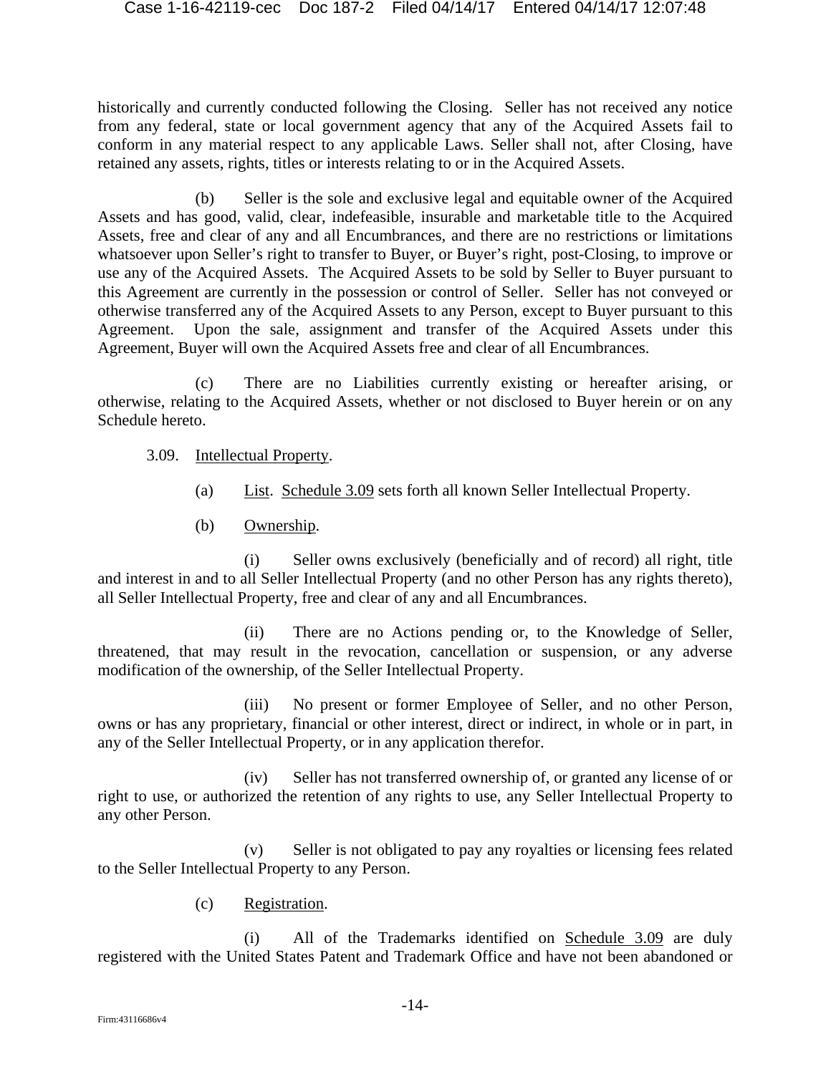historically and currently conducted following the Closing. Seller has not received any notice from any federal, state or local government agency that any of the Acquired Assets fail to conform in any material respect to any applicable Laws. Seller shall not, after Closing, have retained any assets, rights, titles or interests relating to or in the Acquired Assets.

(b) Seller is the sole and exclusive legal and equitable owner of the Acquired Assets and has good, valid, clear, indefeasible, insurable and marketable title to the Acquired Assets, free and clear of any and all Encumbrances, and there are no restrictions or limitations whatsoever upon Seller's right to transfer to Buyer, or Buyer's right, post-Closing, to improve or use any of the Acquired Assets. The Acquired Assets to be sold by Seller to Buyer pursuant to this Agreement are currently in the possession or control of Seller. Seller has not conveyed or otherwise transferred any of the Acquired Assets to any Person, except to Buyer pursuant to this Agreement. Upon the sale, assignment and transfer of the Acquired Assets under this Agreement, Buyer will own the Acquired Assets free and clear of all Encumbrances.

(c) There are no Liabilities currently existing or hereafter arising, or otherwise, relating to the Acquired Assets, whether or not disclosed to Buyer herein or on any Schedule hereto.

- 3.09. Intellectual Property.
	- (a) List. Schedule 3.09 sets forth all known Seller Intellectual Property.
	- (b) Ownership.

(i) Seller owns exclusively (beneficially and of record) all right, title and interest in and to all Seller Intellectual Property (and no other Person has any rights thereto), all Seller Intellectual Property, free and clear of any and all Encumbrances.

(ii) There are no Actions pending or, to the Knowledge of Seller, threatened, that may result in the revocation, cancellation or suspension, or any adverse modification of the ownership, of the Seller Intellectual Property.

(iii) No present or former Employee of Seller, and no other Person, owns or has any proprietary, financial or other interest, direct or indirect, in whole or in part, in any of the Seller Intellectual Property, or in any application therefor.

(iv) Seller has not transferred ownership of, or granted any license of or right to use, or authorized the retention of any rights to use, any Seller Intellectual Property to any other Person.

(v) Seller is not obligated to pay any royalties or licensing fees related to the Seller Intellectual Property to any Person.

(c) Registration.

(i) All of the Trademarks identified on Schedule 3.09 are duly registered with the United States Patent and Trademark Office and have not been abandoned or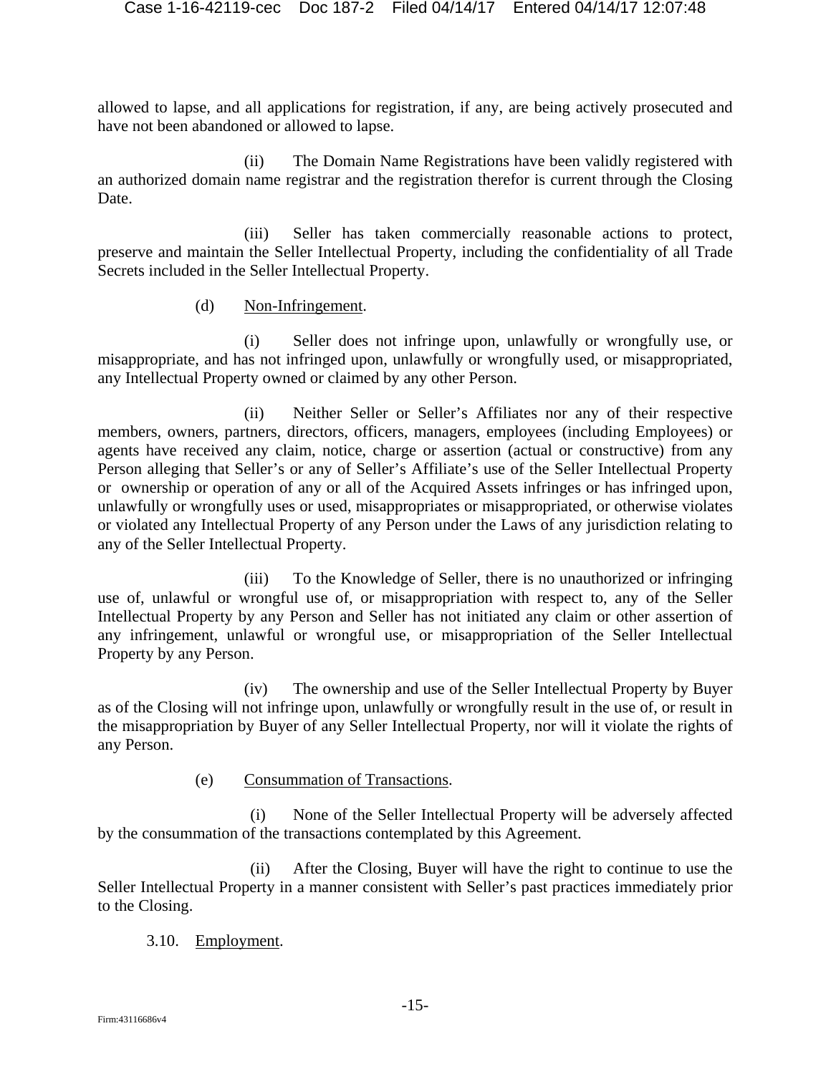allowed to lapse, and all applications for registration, if any, are being actively prosecuted and have not been abandoned or allowed to lapse.

(ii) The Domain Name Registrations have been validly registered with an authorized domain name registrar and the registration therefor is current through the Closing Date.

(iii) Seller has taken commercially reasonable actions to protect, preserve and maintain the Seller Intellectual Property, including the confidentiality of all Trade Secrets included in the Seller Intellectual Property.

(d) Non-Infringement.

(i) Seller does not infringe upon, unlawfully or wrongfully use, or misappropriate, and has not infringed upon, unlawfully or wrongfully used, or misappropriated, any Intellectual Property owned or claimed by any other Person.

(ii) Neither Seller or Seller's Affiliates nor any of their respective members, owners, partners, directors, officers, managers, employees (including Employees) or agents have received any claim, notice, charge or assertion (actual or constructive) from any Person alleging that Seller's or any of Seller's Affiliate's use of the Seller Intellectual Property or ownership or operation of any or all of the Acquired Assets infringes or has infringed upon, unlawfully or wrongfully uses or used, misappropriates or misappropriated, or otherwise violates or violated any Intellectual Property of any Person under the Laws of any jurisdiction relating to any of the Seller Intellectual Property.

(iii) To the Knowledge of Seller, there is no unauthorized or infringing use of, unlawful or wrongful use of, or misappropriation with respect to, any of the Seller Intellectual Property by any Person and Seller has not initiated any claim or other assertion of any infringement, unlawful or wrongful use, or misappropriation of the Seller Intellectual Property by any Person.

(iv) The ownership and use of the Seller Intellectual Property by Buyer as of the Closing will not infringe upon, unlawfully or wrongfully result in the use of, or result in the misappropriation by Buyer of any Seller Intellectual Property, nor will it violate the rights of any Person.

(e) Consummation of Transactions.

(i) None of the Seller Intellectual Property will be adversely affected by the consummation of the transactions contemplated by this Agreement.

(ii) After the Closing, Buyer will have the right to continue to use the Seller Intellectual Property in a manner consistent with Seller's past practices immediately prior to the Closing.

3.10. Employment.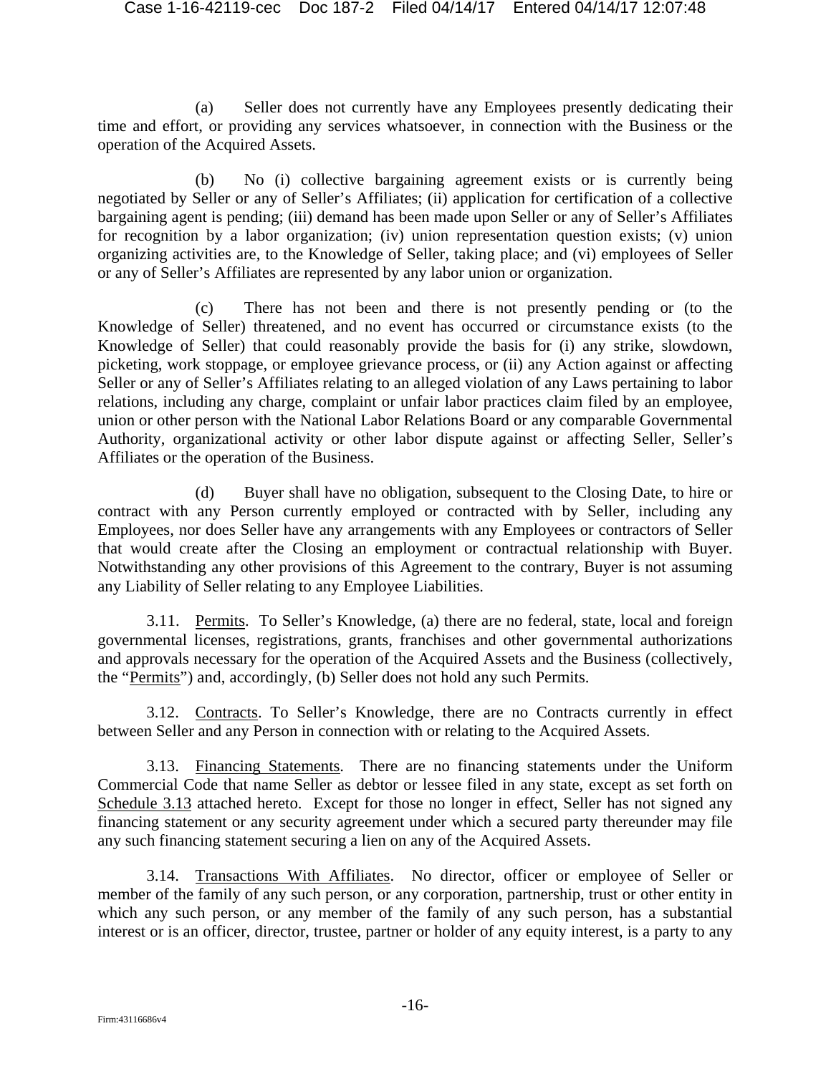(a) Seller does not currently have any Employees presently dedicating their time and effort, or providing any services whatsoever, in connection with the Business or the operation of the Acquired Assets.

(b) No (i) collective bargaining agreement exists or is currently being negotiated by Seller or any of Seller's Affiliates; (ii) application for certification of a collective bargaining agent is pending; (iii) demand has been made upon Seller or any of Seller's Affiliates for recognition by a labor organization; (iv) union representation question exists; (v) union organizing activities are, to the Knowledge of Seller, taking place; and (vi) employees of Seller or any of Seller's Affiliates are represented by any labor union or organization.

(c) There has not been and there is not presently pending or (to the Knowledge of Seller) threatened, and no event has occurred or circumstance exists (to the Knowledge of Seller) that could reasonably provide the basis for (i) any strike, slowdown, picketing, work stoppage, or employee grievance process, or (ii) any Action against or affecting Seller or any of Seller's Affiliates relating to an alleged violation of any Laws pertaining to labor relations, including any charge, complaint or unfair labor practices claim filed by an employee, union or other person with the National Labor Relations Board or any comparable Governmental Authority, organizational activity or other labor dispute against or affecting Seller, Seller's Affiliates or the operation of the Business.

(d) Buyer shall have no obligation, subsequent to the Closing Date, to hire or contract with any Person currently employed or contracted with by Seller, including any Employees, nor does Seller have any arrangements with any Employees or contractors of Seller that would create after the Closing an employment or contractual relationship with Buyer. Notwithstanding any other provisions of this Agreement to the contrary, Buyer is not assuming any Liability of Seller relating to any Employee Liabilities.

3.11. Permits. To Seller's Knowledge, (a) there are no federal, state, local and foreign governmental licenses, registrations, grants, franchises and other governmental authorizations and approvals necessary for the operation of the Acquired Assets and the Business (collectively, the "Permits") and, accordingly, (b) Seller does not hold any such Permits.

3.12. Contracts. To Seller's Knowledge, there are no Contracts currently in effect between Seller and any Person in connection with or relating to the Acquired Assets.

3.13. Financing Statements. There are no financing statements under the Uniform Commercial Code that name Seller as debtor or lessee filed in any state, except as set forth on Schedule 3.13 attached hereto. Except for those no longer in effect, Seller has not signed any financing statement or any security agreement under which a secured party thereunder may file any such financing statement securing a lien on any of the Acquired Assets.

3.14. Transactions With Affiliates. No director, officer or employee of Seller or member of the family of any such person, or any corporation, partnership, trust or other entity in which any such person, or any member of the family of any such person, has a substantial interest or is an officer, director, trustee, partner or holder of any equity interest, is a party to any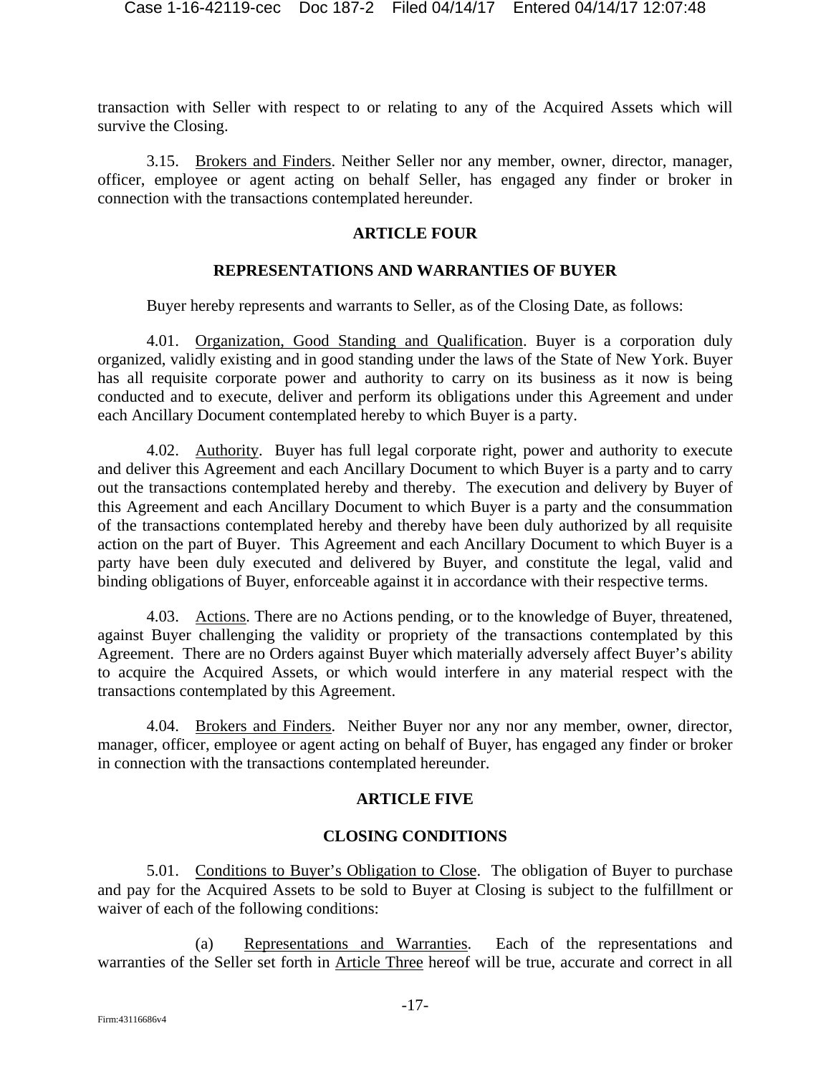transaction with Seller with respect to or relating to any of the Acquired Assets which will survive the Closing.

3.15. Brokers and Finders. Neither Seller nor any member, owner, director, manager, officer, employee or agent acting on behalf Seller, has engaged any finder or broker in connection with the transactions contemplated hereunder.

#### **ARTICLE FOUR**

### **REPRESENTATIONS AND WARRANTIES OF BUYER**

Buyer hereby represents and warrants to Seller, as of the Closing Date, as follows:

4.01. Organization, Good Standing and Qualification. Buyer is a corporation duly organized, validly existing and in good standing under the laws of the State of New York. Buyer has all requisite corporate power and authority to carry on its business as it now is being conducted and to execute, deliver and perform its obligations under this Agreement and under each Ancillary Document contemplated hereby to which Buyer is a party.

4.02. Authority. Buyer has full legal corporate right, power and authority to execute and deliver this Agreement and each Ancillary Document to which Buyer is a party and to carry out the transactions contemplated hereby and thereby. The execution and delivery by Buyer of this Agreement and each Ancillary Document to which Buyer is a party and the consummation of the transactions contemplated hereby and thereby have been duly authorized by all requisite action on the part of Buyer. This Agreement and each Ancillary Document to which Buyer is a party have been duly executed and delivered by Buyer, and constitute the legal, valid and binding obligations of Buyer, enforceable against it in accordance with their respective terms.

4.03. Actions. There are no Actions pending, or to the knowledge of Buyer, threatened, against Buyer challenging the validity or propriety of the transactions contemplated by this Agreement. There are no Orders against Buyer which materially adversely affect Buyer's ability to acquire the Acquired Assets, or which would interfere in any material respect with the transactions contemplated by this Agreement.

4.04. Brokers and Finders. Neither Buyer nor any nor any member, owner, director, manager, officer, employee or agent acting on behalf of Buyer, has engaged any finder or broker in connection with the transactions contemplated hereunder.

#### **ARTICLE FIVE**

### **CLOSING CONDITIONS**

5.01. Conditions to Buyer's Obligation to Close. The obligation of Buyer to purchase and pay for the Acquired Assets to be sold to Buyer at Closing is subject to the fulfillment or waiver of each of the following conditions:

(a) Representations and Warranties. Each of the representations and warranties of the Seller set forth in Article Three hereof will be true, accurate and correct in all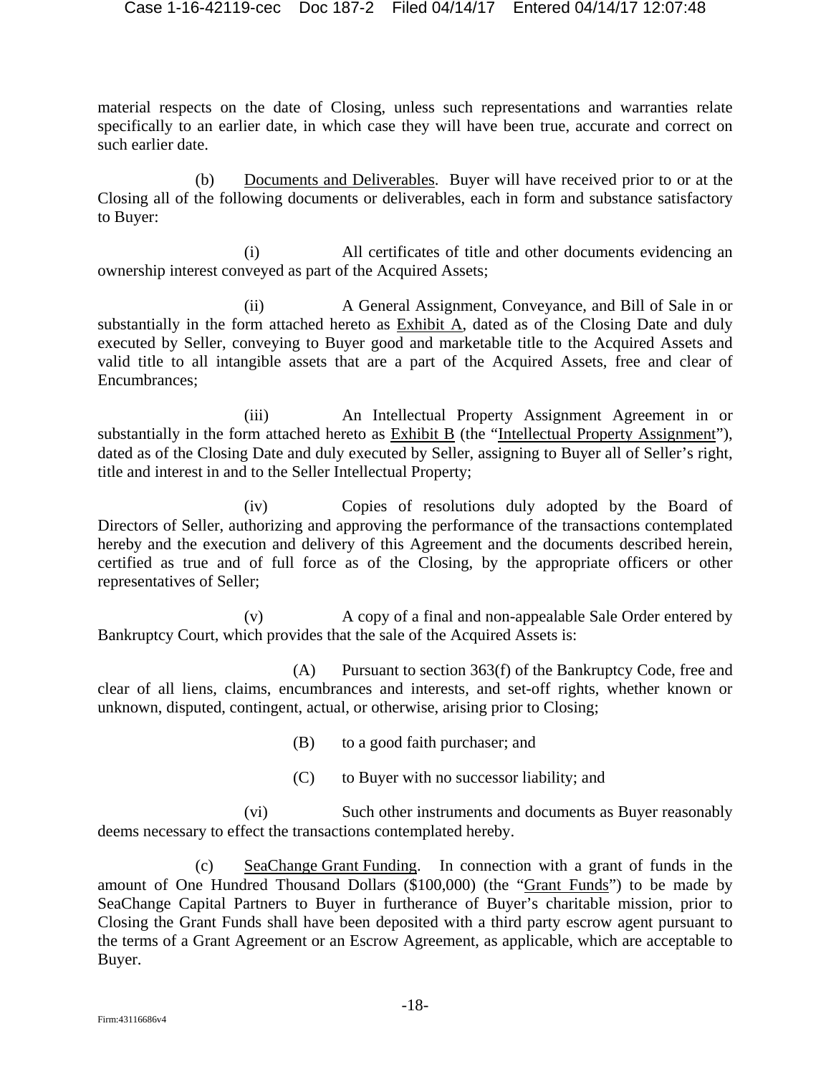material respects on the date of Closing, unless such representations and warranties relate specifically to an earlier date, in which case they will have been true, accurate and correct on such earlier date.

(b) Documents and Deliverables. Buyer will have received prior to or at the Closing all of the following documents or deliverables, each in form and substance satisfactory to Buyer:

(i) All certificates of title and other documents evidencing an ownership interest conveyed as part of the Acquired Assets;

(ii) A General Assignment, Conveyance, and Bill of Sale in or substantially in the form attached hereto as Exhibit A, dated as of the Closing Date and duly executed by Seller, conveying to Buyer good and marketable title to the Acquired Assets and valid title to all intangible assets that are a part of the Acquired Assets, free and clear of Encumbrances;

(iii) An Intellectual Property Assignment Agreement in or substantially in the form attached hereto as Exhibit B (the "Intellectual Property Assignment"), dated as of the Closing Date and duly executed by Seller, assigning to Buyer all of Seller's right, title and interest in and to the Seller Intellectual Property;

(iv) Copies of resolutions duly adopted by the Board of Directors of Seller, authorizing and approving the performance of the transactions contemplated hereby and the execution and delivery of this Agreement and the documents described herein, certified as true and of full force as of the Closing, by the appropriate officers or other representatives of Seller;

(v) A copy of a final and non-appealable Sale Order entered by Bankruptcy Court, which provides that the sale of the Acquired Assets is:

(A) Pursuant to section 363(f) of the Bankruptcy Code, free and clear of all liens, claims, encumbrances and interests, and set-off rights, whether known or unknown, disputed, contingent, actual, or otherwise, arising prior to Closing;

(B) to a good faith purchaser; and

(C) to Buyer with no successor liability; and

(vi) Such other instruments and documents as Buyer reasonably deems necessary to effect the transactions contemplated hereby.

(c) SeaChange Grant Funding. In connection with a grant of funds in the amount of One Hundred Thousand Dollars (\$100,000) (the "Grant Funds") to be made by SeaChange Capital Partners to Buyer in furtherance of Buyer's charitable mission, prior to Closing the Grant Funds shall have been deposited with a third party escrow agent pursuant to the terms of a Grant Agreement or an Escrow Agreement, as applicable, which are acceptable to Buyer.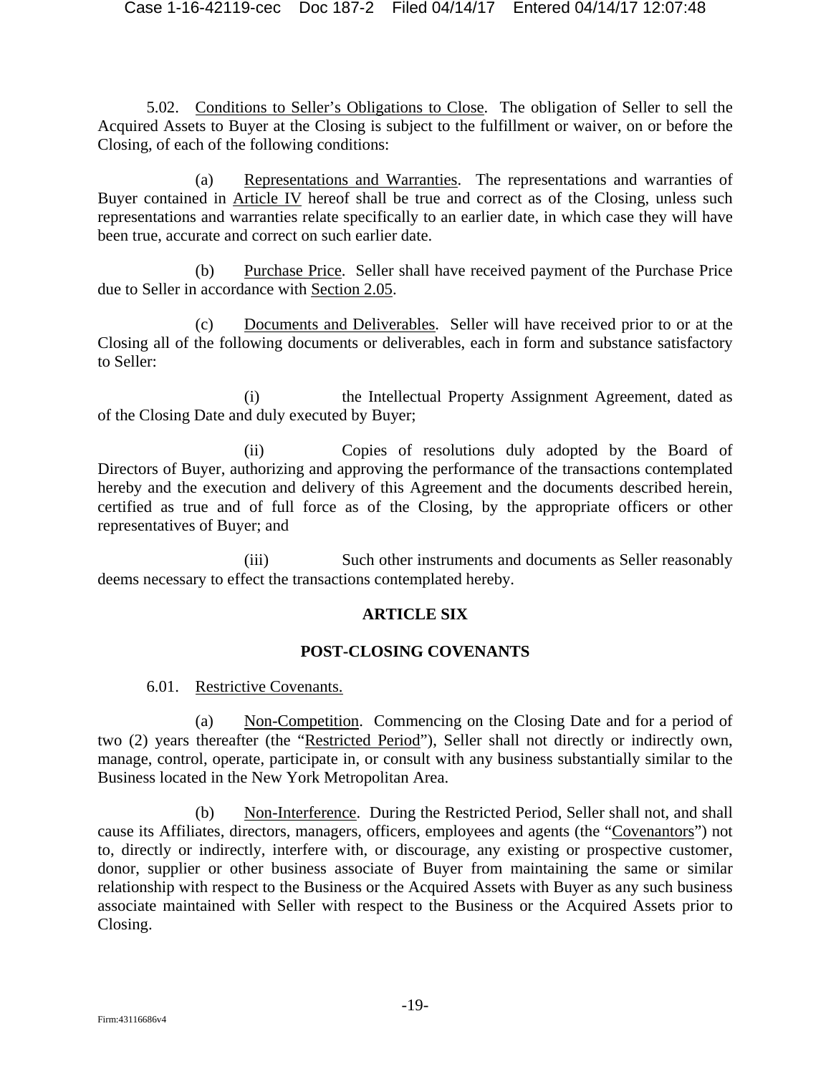5.02. Conditions to Seller's Obligations to Close. The obligation of Seller to sell the Acquired Assets to Buyer at the Closing is subject to the fulfillment or waiver, on or before the Closing, of each of the following conditions:

(a) Representations and Warranties. The representations and warranties of Buyer contained in Article IV hereof shall be true and correct as of the Closing, unless such representations and warranties relate specifically to an earlier date, in which case they will have been true, accurate and correct on such earlier date.

(b) Purchase Price. Seller shall have received payment of the Purchase Price due to Seller in accordance with Section 2.05.

(c) Documents and Deliverables. Seller will have received prior to or at the Closing all of the following documents or deliverables, each in form and substance satisfactory to Seller:

(i) the Intellectual Property Assignment Agreement, dated as of the Closing Date and duly executed by Buyer;

(ii) Copies of resolutions duly adopted by the Board of Directors of Buyer, authorizing and approving the performance of the transactions contemplated hereby and the execution and delivery of this Agreement and the documents described herein, certified as true and of full force as of the Closing, by the appropriate officers or other representatives of Buyer; and

(iii) Such other instruments and documents as Seller reasonably deems necessary to effect the transactions contemplated hereby.

### **ARTICLE SIX**

### **POST-CLOSING COVENANTS**

6.01. Restrictive Covenants.

(a) Non-Competition. Commencing on the Closing Date and for a period of two (2) years thereafter (the "Restricted Period"), Seller shall not directly or indirectly own, manage, control, operate, participate in, or consult with any business substantially similar to the Business located in the New York Metropolitan Area.

(b) Non-Interference. During the Restricted Period, Seller shall not, and shall cause its Affiliates, directors, managers, officers, employees and agents (the "Covenantors") not to, directly or indirectly, interfere with, or discourage, any existing or prospective customer, donor, supplier or other business associate of Buyer from maintaining the same or similar relationship with respect to the Business or the Acquired Assets with Buyer as any such business associate maintained with Seller with respect to the Business or the Acquired Assets prior to Closing.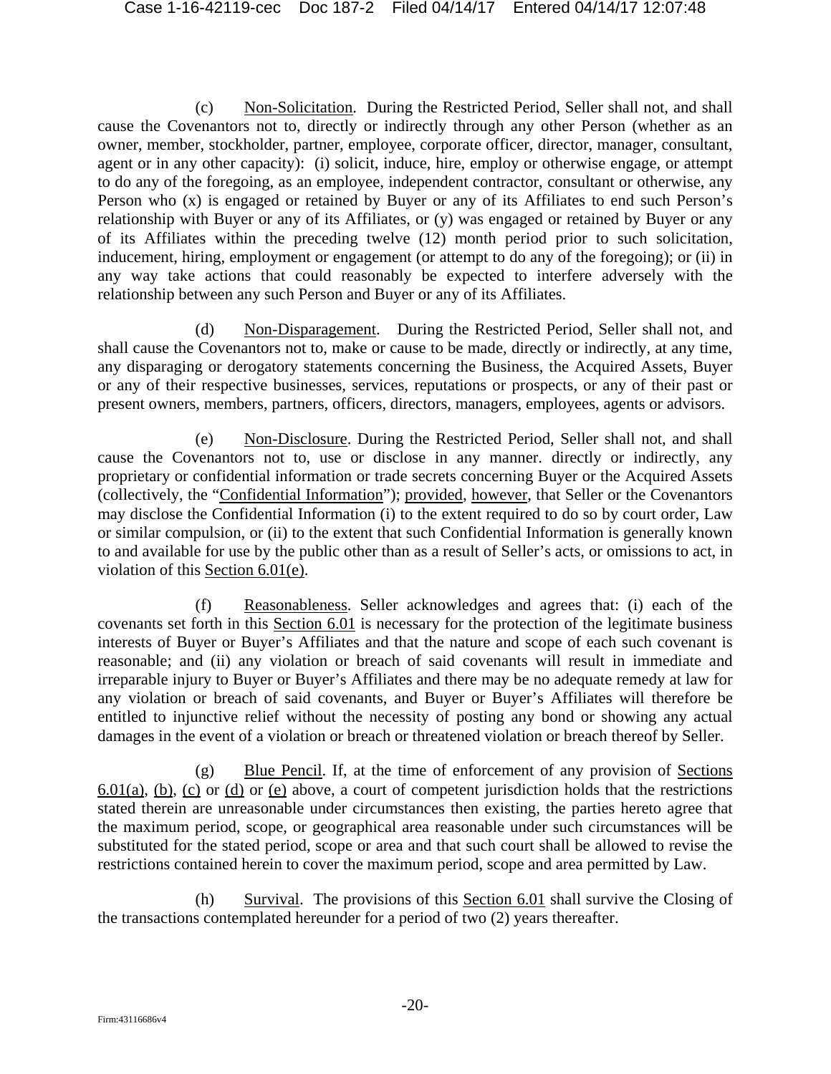(c) Non-Solicitation. During the Restricted Period, Seller shall not, and shall cause the Covenantors not to, directly or indirectly through any other Person (whether as an owner, member, stockholder, partner, employee, corporate officer, director, manager, consultant, agent or in any other capacity): (i) solicit, induce, hire, employ or otherwise engage, or attempt to do any of the foregoing, as an employee, independent contractor, consultant or otherwise, any Person who (x) is engaged or retained by Buyer or any of its Affiliates to end such Person's relationship with Buyer or any of its Affiliates, or (y) was engaged or retained by Buyer or any of its Affiliates within the preceding twelve (12) month period prior to such solicitation, inducement, hiring, employment or engagement (or attempt to do any of the foregoing); or (ii) in any way take actions that could reasonably be expected to interfere adversely with the relationship between any such Person and Buyer or any of its Affiliates.

(d) Non-Disparagement. During the Restricted Period, Seller shall not, and shall cause the Covenantors not to, make or cause to be made, directly or indirectly, at any time, any disparaging or derogatory statements concerning the Business, the Acquired Assets, Buyer or any of their respective businesses, services, reputations or prospects, or any of their past or present owners, members, partners, officers, directors, managers, employees, agents or advisors.

(e) Non-Disclosure. During the Restricted Period, Seller shall not, and shall cause the Covenantors not to, use or disclose in any manner. directly or indirectly, any proprietary or confidential information or trade secrets concerning Buyer or the Acquired Assets (collectively, the "Confidential Information"); provided, however, that Seller or the Covenantors may disclose the Confidential Information (i) to the extent required to do so by court order, Law or similar compulsion, or (ii) to the extent that such Confidential Information is generally known to and available for use by the public other than as a result of Seller's acts, or omissions to act, in violation of this Section 6.01(e).

(f) Reasonableness. Seller acknowledges and agrees that: (i) each of the covenants set forth in this Section 6.01 is necessary for the protection of the legitimate business interests of Buyer or Buyer's Affiliates and that the nature and scope of each such covenant is reasonable; and (ii) any violation or breach of said covenants will result in immediate and irreparable injury to Buyer or Buyer's Affiliates and there may be no adequate remedy at law for any violation or breach of said covenants, and Buyer or Buyer's Affiliates will therefore be entitled to injunctive relief without the necessity of posting any bond or showing any actual damages in the event of a violation or breach or threatened violation or breach thereof by Seller.

(g) Blue Pencil. If, at the time of enforcement of any provision of Sections 6.01(a), (b), (c) or (d) or (e) above, a court of competent jurisdiction holds that the restrictions stated therein are unreasonable under circumstances then existing, the parties hereto agree that the maximum period, scope, or geographical area reasonable under such circumstances will be substituted for the stated period, scope or area and that such court shall be allowed to revise the restrictions contained herein to cover the maximum period, scope and area permitted by Law.

(h) Survival. The provisions of this Section 6.01 shall survive the Closing of the transactions contemplated hereunder for a period of two (2) years thereafter.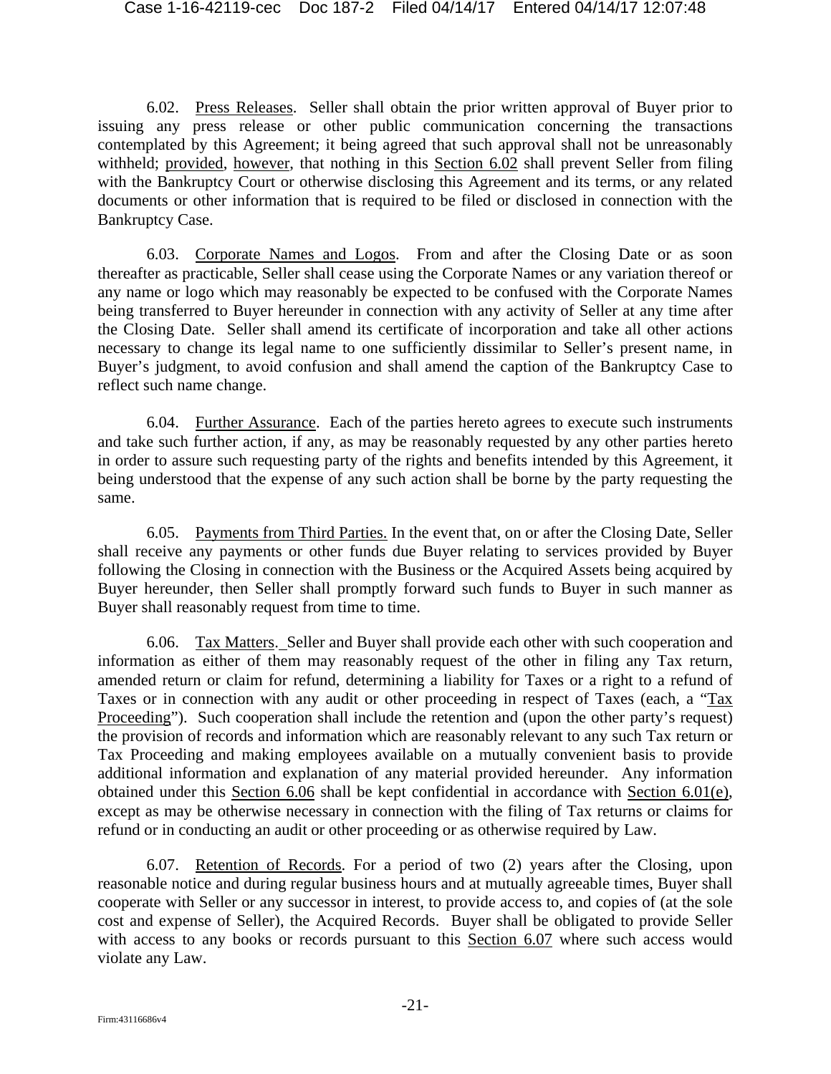6.02. Press Releases. Seller shall obtain the prior written approval of Buyer prior to issuing any press release or other public communication concerning the transactions contemplated by this Agreement; it being agreed that such approval shall not be unreasonably withheld; provided, however, that nothing in this Section 6.02 shall prevent Seller from filing with the Bankruptcy Court or otherwise disclosing this Agreement and its terms, or any related documents or other information that is required to be filed or disclosed in connection with the Bankruptcy Case.

6.03. Corporate Names and Logos. From and after the Closing Date or as soon thereafter as practicable, Seller shall cease using the Corporate Names or any variation thereof or any name or logo which may reasonably be expected to be confused with the Corporate Names being transferred to Buyer hereunder in connection with any activity of Seller at any time after the Closing Date. Seller shall amend its certificate of incorporation and take all other actions necessary to change its legal name to one sufficiently dissimilar to Seller's present name, in Buyer's judgment, to avoid confusion and shall amend the caption of the Bankruptcy Case to reflect such name change.

6.04. Further Assurance. Each of the parties hereto agrees to execute such instruments and take such further action, if any, as may be reasonably requested by any other parties hereto in order to assure such requesting party of the rights and benefits intended by this Agreement, it being understood that the expense of any such action shall be borne by the party requesting the same.

6.05. Payments from Third Parties. In the event that, on or after the Closing Date, Seller shall receive any payments or other funds due Buyer relating to services provided by Buyer following the Closing in connection with the Business or the Acquired Assets being acquired by Buyer hereunder, then Seller shall promptly forward such funds to Buyer in such manner as Buyer shall reasonably request from time to time.

6.06. Tax Matters. Seller and Buyer shall provide each other with such cooperation and information as either of them may reasonably request of the other in filing any Tax return, amended return or claim for refund, determining a liability for Taxes or a right to a refund of Taxes or in connection with any audit or other proceeding in respect of Taxes (each, a "Tax Proceeding"). Such cooperation shall include the retention and (upon the other party's request) the provision of records and information which are reasonably relevant to any such Tax return or Tax Proceeding and making employees available on a mutually convenient basis to provide additional information and explanation of any material provided hereunder. Any information obtained under this Section 6.06 shall be kept confidential in accordance with Section 6.01(e), except as may be otherwise necessary in connection with the filing of Tax returns or claims for refund or in conducting an audit or other proceeding or as otherwise required by Law.

6.07. Retention of Records. For a period of two (2) years after the Closing, upon reasonable notice and during regular business hours and at mutually agreeable times, Buyer shall cooperate with Seller or any successor in interest, to provide access to, and copies of (at the sole cost and expense of Seller), the Acquired Records. Buyer shall be obligated to provide Seller with access to any books or records pursuant to this Section 6.07 where such access would violate any Law.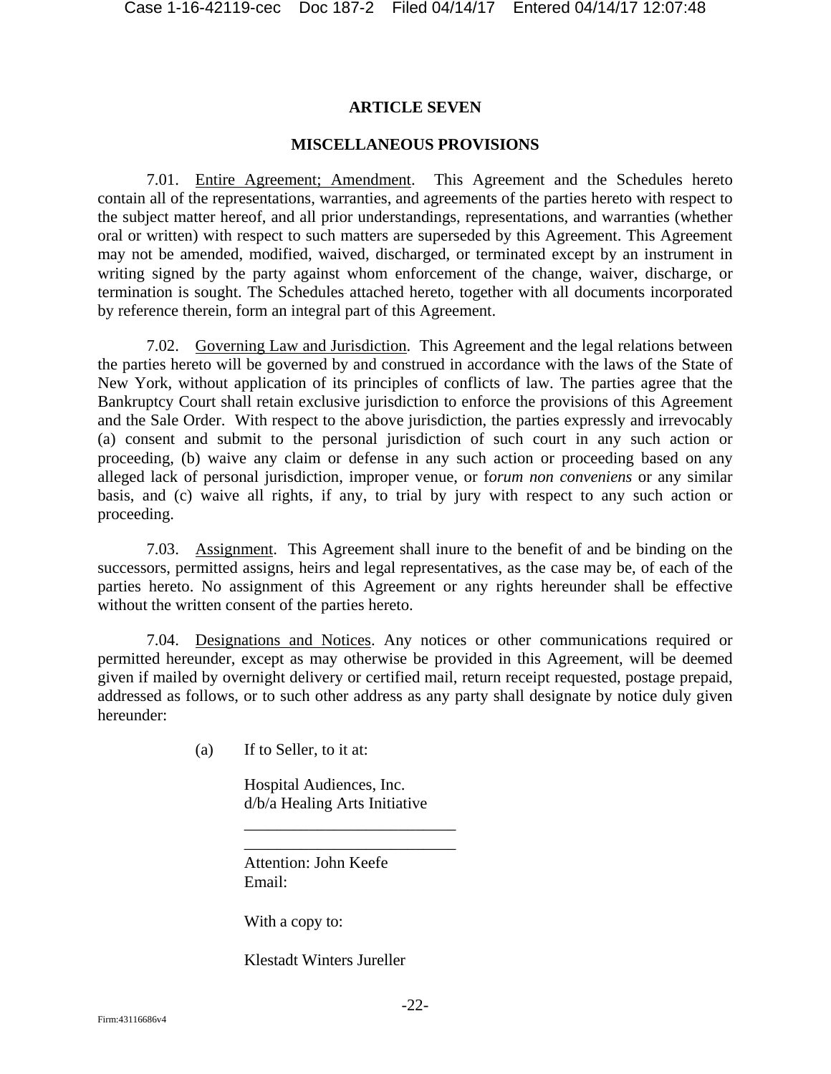### **ARTICLE SEVEN**

### **MISCELLANEOUS PROVISIONS**

7.01. Entire Agreement; Amendment. This Agreement and the Schedules hereto contain all of the representations, warranties, and agreements of the parties hereto with respect to the subject matter hereof, and all prior understandings, representations, and warranties (whether oral or written) with respect to such matters are superseded by this Agreement. This Agreement may not be amended, modified, waived, discharged, or terminated except by an instrument in writing signed by the party against whom enforcement of the change, waiver, discharge, or termination is sought. The Schedules attached hereto, together with all documents incorporated by reference therein, form an integral part of this Agreement.

7.02. Governing Law and Jurisdiction. This Agreement and the legal relations between the parties hereto will be governed by and construed in accordance with the laws of the State of New York, without application of its principles of conflicts of law. The parties agree that the Bankruptcy Court shall retain exclusive jurisdiction to enforce the provisions of this Agreement and the Sale Order. With respect to the above jurisdiction, the parties expressly and irrevocably (a) consent and submit to the personal jurisdiction of such court in any such action or proceeding, (b) waive any claim or defense in any such action or proceeding based on any alleged lack of personal jurisdiction, improper venue, or f*orum non conveniens* or any similar basis, and (c) waive all rights, if any, to trial by jury with respect to any such action or proceeding.

7.03. Assignment. This Agreement shall inure to the benefit of and be binding on the successors, permitted assigns, heirs and legal representatives, as the case may be, of each of the parties hereto. No assignment of this Agreement or any rights hereunder shall be effective without the written consent of the parties hereto.

7.04. Designations and Notices. Any notices or other communications required or permitted hereunder, except as may otherwise be provided in this Agreement, will be deemed given if mailed by overnight delivery or certified mail, return receipt requested, postage prepaid, addressed as follows, or to such other address as any party shall designate by notice duly given hereunder:

(a) If to Seller, to it at:

Hospital Audiences, Inc. d/b/a Healing Arts Initiative

\_\_\_\_\_\_\_\_\_\_\_\_\_\_\_\_\_\_\_\_\_\_\_\_\_\_ \_\_\_\_\_\_\_\_\_\_\_\_\_\_\_\_\_\_\_\_\_\_\_\_\_\_

Attention: John Keefe Email:

With a copy to:

Klestadt Winters Jureller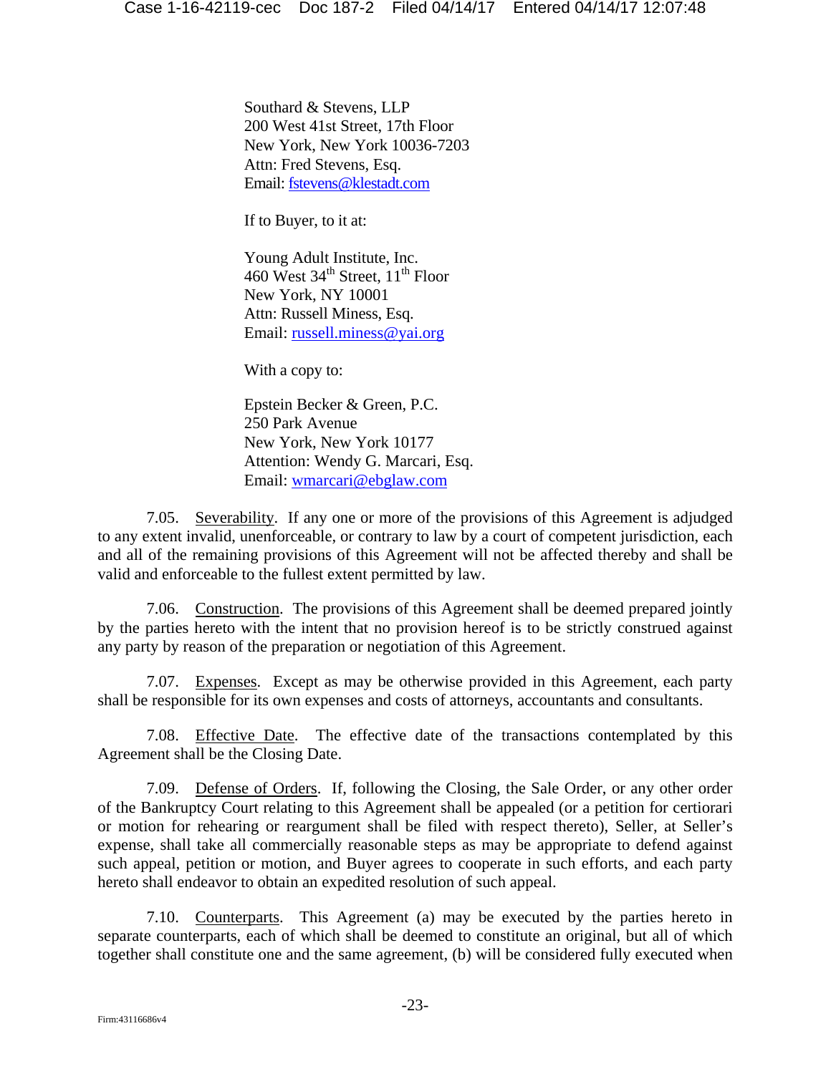Southard & Stevens, LLP 200 West 41st Street, 17th Floor New York, New York 10036-7203 Attn: Fred Stevens, Esq. Email: fstevens@klestadt.com

If to Buyer, to it at:

Young Adult Institute, Inc. 460 West  $34<sup>th</sup>$  Street,  $11<sup>th</sup>$  Floor New York, NY 10001 Attn: Russell Miness, Esq. Email: russell.miness@yai.org

With a copy to:

Epstein Becker & Green, P.C. 250 Park Avenue New York, New York 10177 Attention: Wendy G. Marcari, Esq. Email: wmarcari@ebglaw.com

7.05. Severability. If any one or more of the provisions of this Agreement is adjudged to any extent invalid, unenforceable, or contrary to law by a court of competent jurisdiction, each and all of the remaining provisions of this Agreement will not be affected thereby and shall be valid and enforceable to the fullest extent permitted by law.

7.06. Construction. The provisions of this Agreement shall be deemed prepared jointly by the parties hereto with the intent that no provision hereof is to be strictly construed against any party by reason of the preparation or negotiation of this Agreement.

7.07. Expenses. Except as may be otherwise provided in this Agreement, each party shall be responsible for its own expenses and costs of attorneys, accountants and consultants.

7.08. Effective Date. The effective date of the transactions contemplated by this Agreement shall be the Closing Date.

7.09. Defense of Orders. If, following the Closing, the Sale Order, or any other order of the Bankruptcy Court relating to this Agreement shall be appealed (or a petition for certiorari or motion for rehearing or reargument shall be filed with respect thereto), Seller, at Seller's expense, shall take all commercially reasonable steps as may be appropriate to defend against such appeal, petition or motion, and Buyer agrees to cooperate in such efforts, and each party hereto shall endeavor to obtain an expedited resolution of such appeal.

7.10. Counterparts. This Agreement (a) may be executed by the parties hereto in separate counterparts, each of which shall be deemed to constitute an original, but all of which together shall constitute one and the same agreement, (b) will be considered fully executed when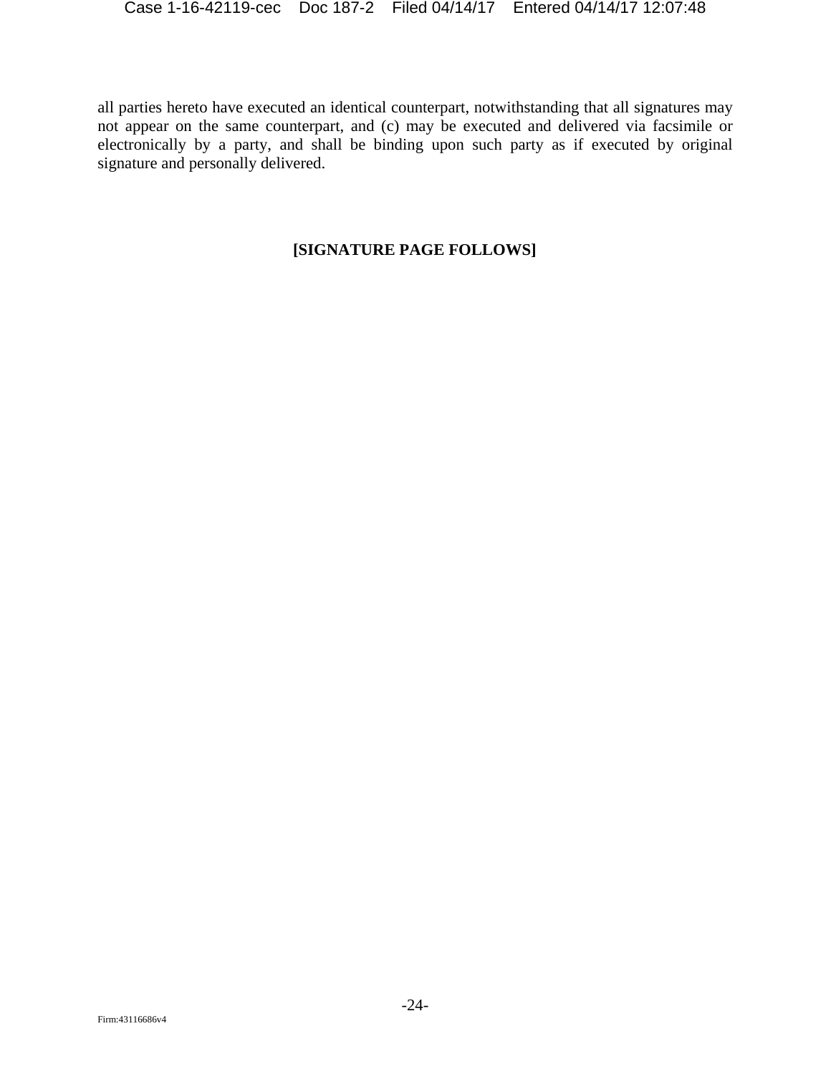all parties hereto have executed an identical counterpart, notwithstanding that all signatures may not appear on the same counterpart, and (c) may be executed and delivered via facsimile or electronically by a party, and shall be binding upon such party as if executed by original signature and personally delivered.

# **[SIGNATURE PAGE FOLLOWS]**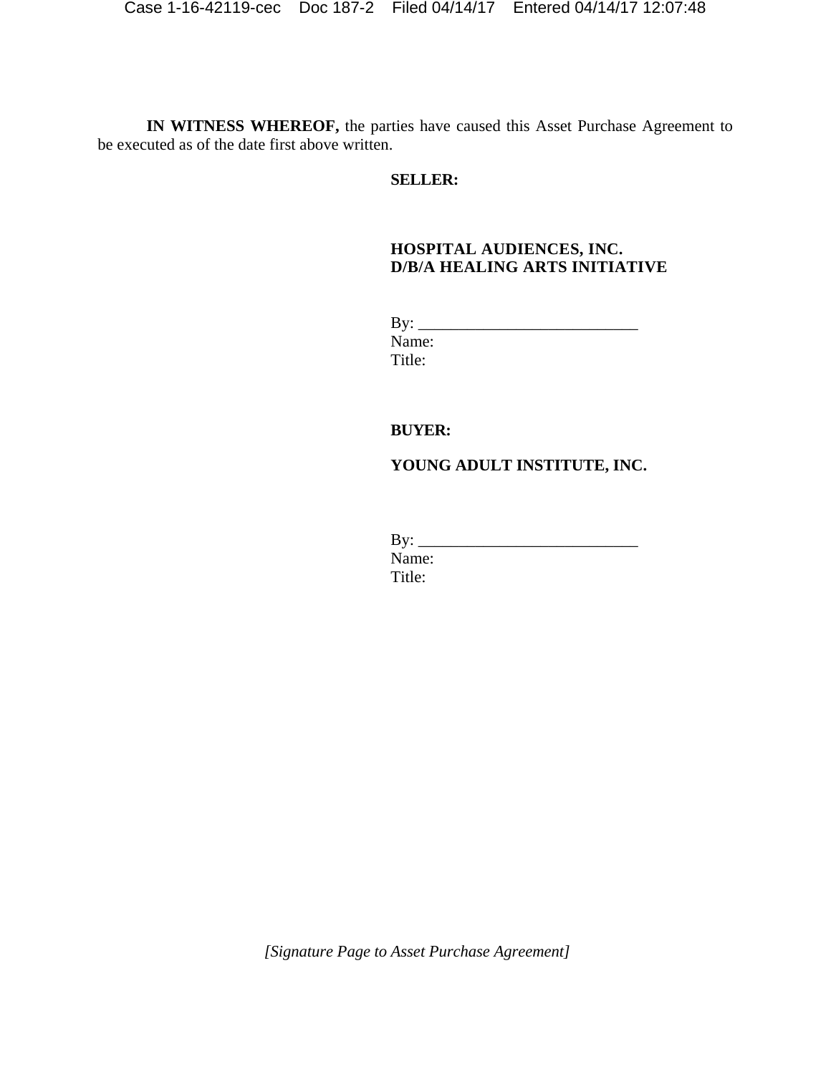**IN WITNESS WHEREOF,** the parties have caused this Asset Purchase Agreement to be executed as of the date first above written.

### **SELLER:**

### **HOSPITAL AUDIENCES, INC. D/B/A HEALING ARTS INITIATIVE**

| By:    |  |
|--------|--|
| Name:  |  |
| Title: |  |

### **BUYER:**

# **YOUNG ADULT INSTITUTE, INC.**

| By:    |  |
|--------|--|
| Name:  |  |
| Title: |  |

 *[Signature Page to Asset Purchase Agreement]*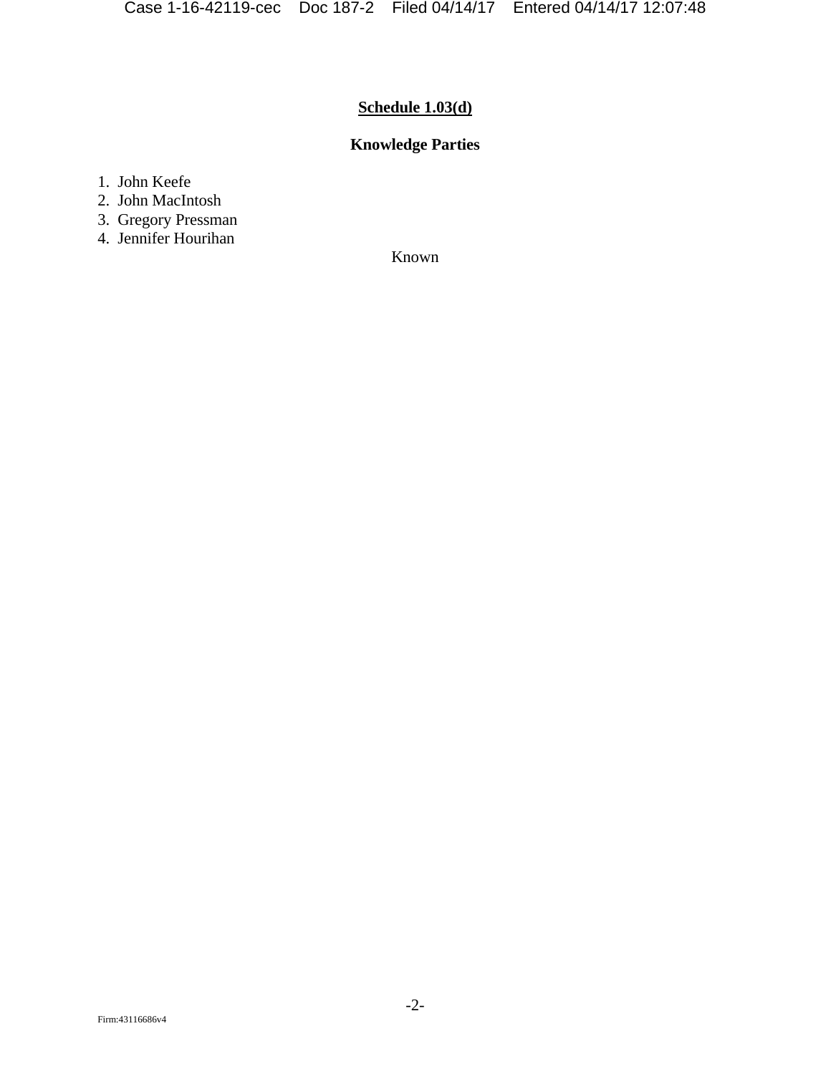# **Schedule 1.03(d)**

# **Knowledge Parties**

1. John Keefe

- 2. John MacIntosh
- 3. Gregory Pressman
- 4. Jennifer Hourihan

Known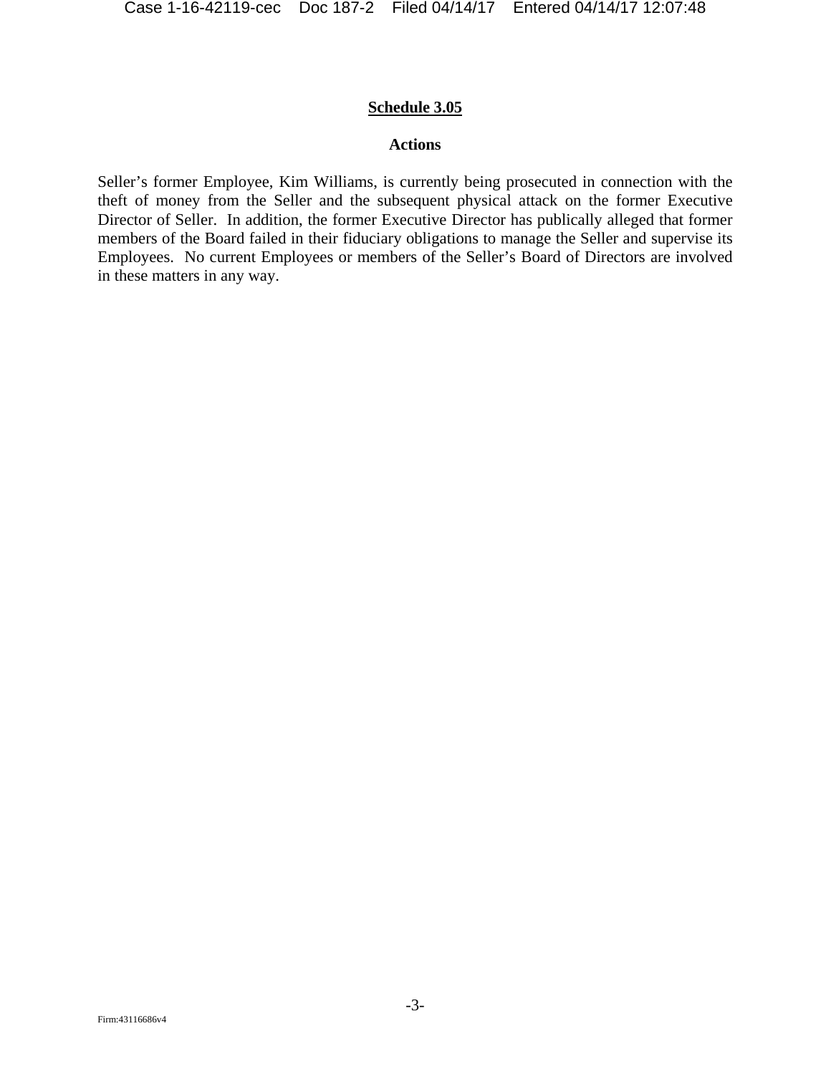### **Schedule 3.05**

### **Actions**

Seller's former Employee, Kim Williams, is currently being prosecuted in connection with the theft of money from the Seller and the subsequent physical attack on the former Executive Director of Seller. In addition, the former Executive Director has publically alleged that former members of the Board failed in their fiduciary obligations to manage the Seller and supervise its Employees. No current Employees or members of the Seller's Board of Directors are involved in these matters in any way.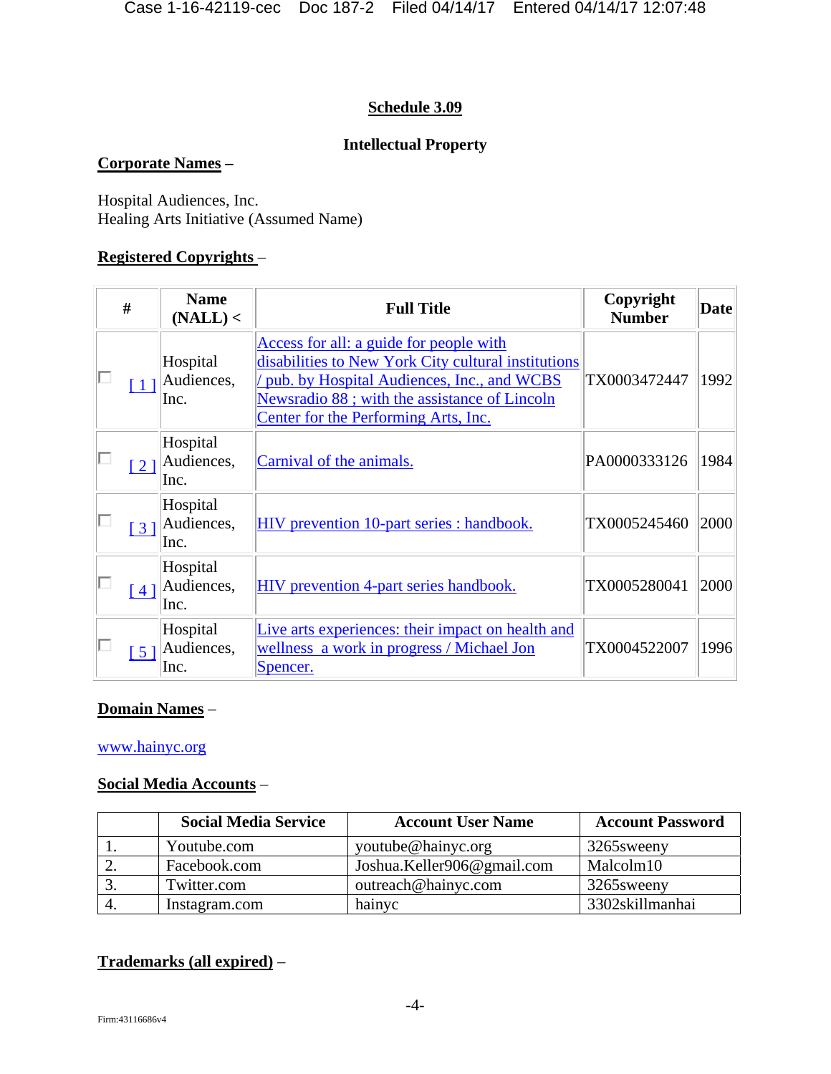# **Schedule 3.09**

# **Intellectual Property**

# **Corporate Names –**

Hospital Audiences, Inc. Healing Arts Initiative (Assumed Name)

## **Registered Copyrights** –

| #                 | <b>Name</b><br>(NALL) <        | <b>Full Title</b>                                                                                                                                                                                                                    | Copyright<br><b>Number</b> | <b>Date</b> |
|-------------------|--------------------------------|--------------------------------------------------------------------------------------------------------------------------------------------------------------------------------------------------------------------------------------|----------------------------|-------------|
|                   | Hospital<br>Audiences,<br>Inc. | Access for all: a guide for people with<br>disabilities to New York City cultural institutions<br>pub. by Hospital Audiences, Inc., and WCBS<br>Newsradio 88; with the assistance of Lincoln<br>Center for the Performing Arts, Inc. | TX0003472447               | 1992        |
| $\lceil 2 \rceil$ | Hospital<br>Audiences,<br>Inc. | Carnival of the animals.                                                                                                                                                                                                             | PA0000333126               | 1984        |
| $\lceil 3 \rceil$ | Hospital<br>Audiences,<br>Inc. | HIV prevention 10-part series : handbook.                                                                                                                                                                                            | TX0005245460               | 2000        |
| 41                | Hospital<br>Audiences,<br>Inc. | HIV prevention 4-part series handbook.                                                                                                                                                                                               | TX0005280041               | 2000        |
| 51                | Hospital<br>Audiences,<br>Inc. | Live arts experiences: their impact on health and<br>wellness a work in progress / Michael Jon<br>Spencer.                                                                                                                           | TX0004522007               | 1996        |

### **Domain Names** –

### www.hainyc.org

# **Social Media Accounts** –

| <b>Social Media Service</b> | <b>Account User Name</b>   | <b>Account Password</b> |
|-----------------------------|----------------------------|-------------------------|
| Youtube.com                 | youtube@hainyc.org         | 3265 sweeny             |
| Facebook.com                | Joshua.Keller906@gmail.com | Malcolm10               |
| Twitter.com                 | outreach@hainyc.com        | 3265sweeny              |
| Instagram.com               | hainyc                     | 3302skillmanhai         |

# **Trademarks (all expired)** –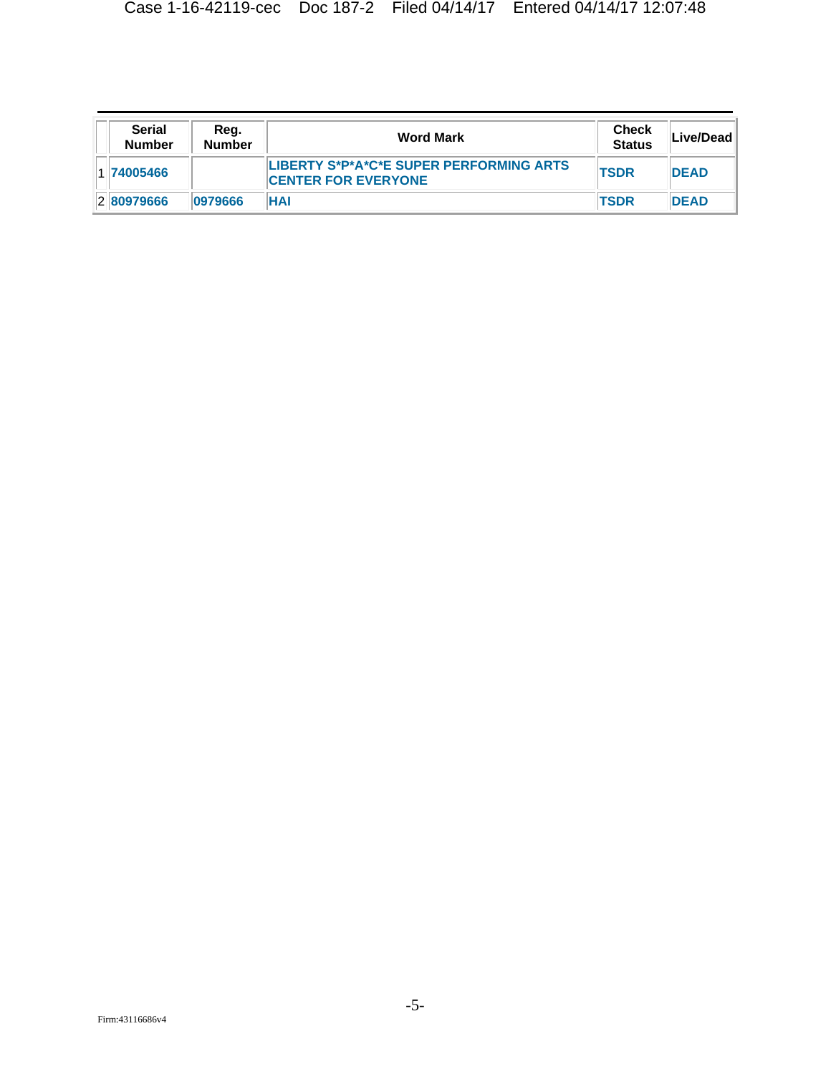| <b>Serial</b><br><b>Number</b> | Reg.<br><b>Number</b> | <b>Word Mark</b>                                                      | <b>Check</b><br><b>Status</b> | Live/Dead   |
|--------------------------------|-----------------------|-----------------------------------------------------------------------|-------------------------------|-------------|
| 1 74005466                     |                       | LIBERTY S*P*A*C*E SUPER PERFORMING ARTS<br><b>CENTER FOR EVERYONE</b> | <b>TSDR</b>                   | <b>DEAD</b> |
| 280979666                      | 10979666              | <b>HAI</b>                                                            | <b>TSDR</b>                   | <b>DEAD</b> |